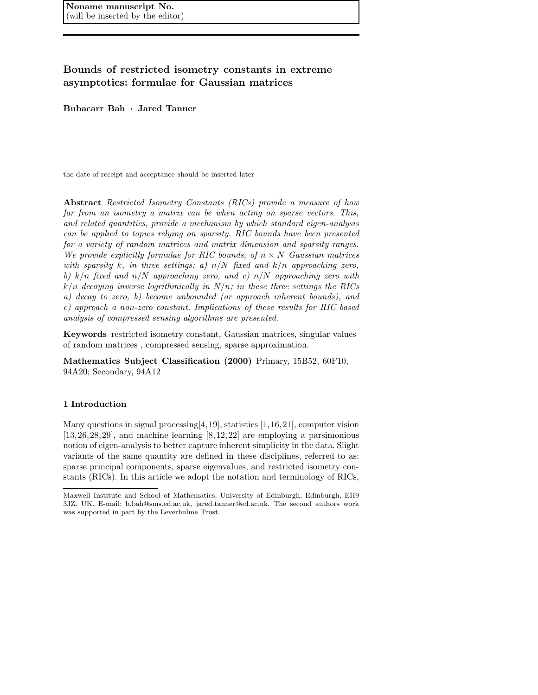### Bounds of restricted isometry constants in extreme asymptotics: formulae for Gaussian matrices

Bubacarr Bah · Jared Tanner

the date of receipt and acceptance should be inserted later

Abstract *Restricted Isometry Constants (RICs) provide a measure of how far from an isometry a matrix can be when acting on sparse vectors. This, and related quantities, provide a mechanism by which standard eigen-analysis can be applied to topics relying on sparsity. RIC bounds have been presented for a variety of random matrices and matrix dimension and sparsity ranges. We provide explicitly formulae for RIC bounds, of*  $n \times N$  *Gaussian matrices with sparsity* k*, in three settings: a)* n/N *fixed and* k/n *approaching zero, b)* k/n *fixed and* n/N *approaching zero, and c)* n/N *approaching zero with* k/n *decaying inverse logrithmically in* N/n*; in these three settings the RICs a) decay to zero, b) become unbounded (or approach inherent bounds), and c) approach a non-zero constant. Implications of these results for RIC based analysis of compressed sensing algorithms are presented.*

Keywords restricted isometry constant, Gaussian matrices, singular values of random matrices , compressed sensing, sparse approximation.

Mathematics Subject Classification (2000) Primary, 15B52, 60F10, 94A20; Secondary, 94A12

### 1 Introduction

Many questions in signal processing  $[4,19]$ , statistics  $[1,16,21]$ , computer vision [13,26,28,29], and machine learning [8,12,22] are employing a parsimonious notion of eigen-analysis to better capture inherent simplicity in the data. Slight variants of the same quantity are defined in these disciplines, referred to as: sparse principal components, sparse eigenvalues, and restricted isometry constants (RICs). In this article we adopt the notation and terminology of RICs,

Maxwell Institute and School of Mathematics, University of Edinburgh, Edinburgh, EH9 3JZ, UK. E-mail: b.bah@sms.ed.ac.uk, jared.tanner@ed.ac.uk. The second authors work was supported in part by the Leverhulme Trust.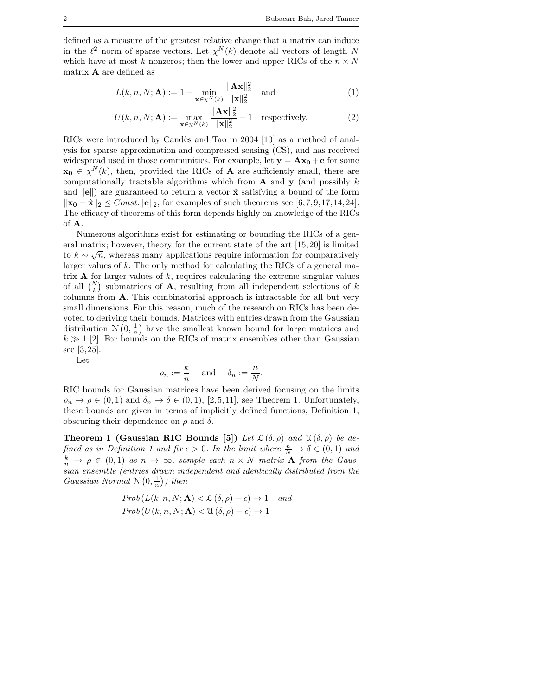defined as a measure of the greatest relative change that a matrix can induce in the  $\ell^2$  norm of sparse vectors. Let  $\chi^N(k)$  denote all vectors of length N which have at most k nonzeros; then the lower and upper RICs of the  $n \times N$ matrix A are defined as

$$
L(k, n, N; \mathbf{A}) := 1 - \min_{\mathbf{x} \in \chi^N(k)} \frac{\|\mathbf{A}\mathbf{x}\|_2^2}{\|\mathbf{x}\|_2^2} \quad \text{and} \tag{1}
$$

$$
U(k, n, N; \mathbf{A}) := \max_{\mathbf{x} \in \chi^N(k)} \frac{\|\mathbf{A}\mathbf{x}\|_2^2}{\|\mathbf{x}\|_2^2} - 1 \quad \text{respectively.}
$$
 (2)

RICs were introduced by Candès and Tao in 2004 [10] as a method of analysis for sparse approximation and compressed sensing (CS), and has received widespread used in those communities. For example, let  $y = Ax_0 + e$  for some  $\mathbf{x_0} \in \chi^N(k)$ , then, provided the RICs of **A** are sufficiently small, there are computationally tractable algorithms which from  $A$  and  $y$  (and possibly k and  $\|\mathbf{e}\|$  are guaranteed to return a vector  $\hat{\mathbf{x}}$  satisfying a bound of the form  $\|\mathbf{x_0} - \hat{\mathbf{x}}\|_2 \leq Const. \| \mathbf{e} \|_2$ ; for examples of such theorems see [6,7,9,17,14,24]. The efficacy of theorems of this form depends highly on knowledge of the RICs of A.

Numerous algorithms exist for estimating or bounding the RICs of a general matrix; however, theory for the current state of the art [15,20] is limited to  $k \sim \sqrt{n}$ , whereas many applications require information for comparatively larger values of k. The only method for calculating the RICs of a general matrix  $A$  for larger values of  $k$ , requires calculating the extreme singular values of all  $\binom{N}{k}$  submatrices of **A**, resulting from all independent selections of k columns from A. This combinatorial approach is intractable for all but very small dimensions. For this reason, much of the research on RICs has been devoted to deriving their bounds. Matrices with entries drawn from the Gaussian distribution  $N(0, \frac{1}{n})$  have the smallest known bound for large matrices and  $k \gg 1$  [2]. For bounds on the RICs of matrix ensembles other than Gaussian see [3,25].

Let

$$
\rho_n := \frac{k}{n} \quad \text{ and } \quad \delta_n := \frac{n}{N}.
$$

RIC bounds for Gaussian matrices have been derived focusing on the limits  $\rho_n \to \rho \in (0,1)$  and  $\delta_n \to \delta \in (0,1)$ , [2,5,11], see Theorem 1. Unfortunately, these bounds are given in terms of implicitly defined functions, Definition 1, obscuring their dependence on  $\rho$  and  $\delta$ .

**Theorem 1 (Gaussian RIC Bounds [5])** Let  $\mathcal{L}(\delta,\rho)$  and  $\mathcal{U}(\delta,\rho)$  be de*fined as in Definition 1 and fix*  $\epsilon > 0$ . In the limit where  $\frac{n}{N} \to \delta \in (0,1)$  and  $\frac{k}{n} \to \rho \in (0,1)$  *as*  $n \to \infty$ *, sample each*  $n \times N$  *matrix* **A** *from the Gaussian ensemble (entries drawn independent and identically distributed from the Gaussian Normal*  $\mathcal{N}(0, \frac{1}{n})$ *) then* 

$$
Prob(L(k, n, N; \mathbf{A}) < L(\delta, \rho) + \epsilon) \to 1 \quad and
$$
  

$$
Prob(U(k, n, N; \mathbf{A}) < U(\delta, \rho) + \epsilon) \to 1
$$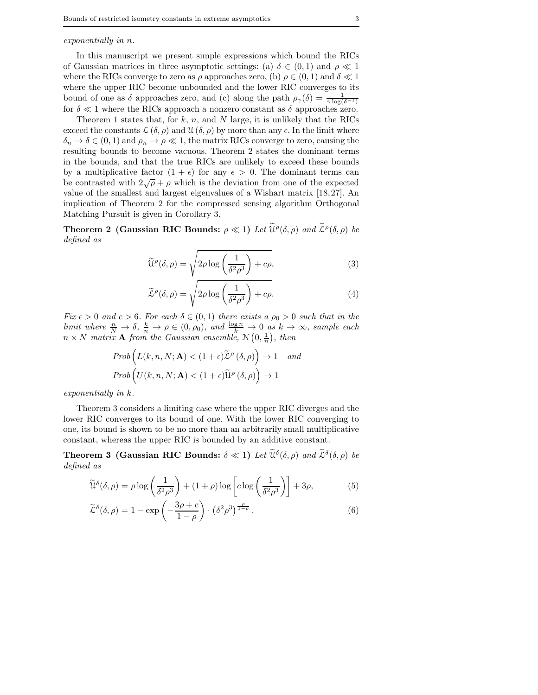In this manuscript we present simple expressions which bound the RICs of Gaussian matrices in three asymptotic settings: (a)  $\delta \in (0,1)$  and  $\rho \ll 1$ where the RICs converge to zero as  $\rho$  approaches zero, (b)  $\rho \in (0,1)$  and  $\delta \ll 1$ where the upper RIC become unbounded and the lower RIC converges to its bound of one as  $\delta$  approaches zero, and (c) along the path  $\rho_{\gamma}(\delta) = \frac{1}{\gamma \log(\delta^{-1})}$ for  $\delta \ll 1$  where the RICs approach a nonzero constant as  $\delta$  approaches zero.

Theorem 1 states that, for  $k$ ,  $n$ , and  $N$  large, it is unlikely that the RICs exceed the constants  $\mathcal{L}(\delta,\rho)$  and  $\mathcal{U}(\delta,\rho)$  by more than any  $\epsilon$ . In the limit where  $\delta_n \to \delta \in (0,1)$  and  $\rho_n \to \rho \ll 1$ , the matrix RICs converge to zero, causing the resulting bounds to become vacuous. Theorem 2 states the dominant terms in the bounds, and that the true RICs are unlikely to exceed these bounds by a multiplicative factor  $(1 + \epsilon)$  for any  $\epsilon > 0$ . The dominant terms can be contrasted with  $2\sqrt{\rho} + \rho$  which is the deviation from one of the expected value of the smallest and largest eigenvalues of a Wishart matrix [18,27]. An implication of Theorem 2 for the compressed sensing algorithm Orthogonal Matching Pursuit is given in Corollary 3.

**Theorem 2** (Gaussian RIC Bounds:  $\rho \ll 1$ ) *Let*  $\widetilde{\mathcal{U}}^{\rho}(\delta, \rho)$  *and*  $\widetilde{\mathcal{L}}^{\rho}(\delta, \rho)$  *be defined as*

$$
\widetilde{\mathcal{U}}^{\rho}(\delta,\rho) = \sqrt{2\rho \log \left(\frac{1}{\delta^2 \rho^3}\right) + c\rho},\tag{3}
$$

$$
\widetilde{\mathcal{L}}^{\rho}(\delta,\rho) = \sqrt{2\rho \log \left(\frac{1}{\delta^2 \rho^3}\right) + c\rho}.\tag{4}
$$

*Fix*  $\epsilon > 0$  *and*  $c > 6$ *. For each*  $\delta \in (0,1)$  *there exists a*  $\rho_0 > 0$  *such that in the limit where*  $\frac{n}{N} \to \delta$ ,  $\frac{k}{n} \to \rho \in (0, \rho_0)$ , and  $\frac{\log n}{k} \to 0$  *as*  $k \to \infty$ , sample each  $n \times N$  *matrix* **A** from the Gaussian ensemble,  $\mathcal{N}(0, \frac{1}{n})$ , then

$$
Prob\left(L(k, n, N; \mathbf{A}) < (1 + \epsilon)\widetilde{\mathcal{L}}^{\rho}(\delta, \rho)\right) \to 1 \quad and
$$

$$
Prob\left(U(k, n, N; \mathbf{A}) < (1 + \epsilon)\widetilde{\mathcal{U}}^{\rho}(\delta, \rho)\right) \to 1
$$

*exponentially in* k*.*

Theorem 3 considers a limiting case where the upper RIC diverges and the lower RIC converges to its bound of one. With the lower RIC converging to one, its bound is shown to be no more than an arbitrarily small multiplicative constant, whereas the upper RIC is bounded by an additive constant.

**Theorem 3 (Gaussian RIC Bounds:**  $\delta \ll 1$ ) Let  $\widetilde{\mathfrak{U}}^{\delta}(\delta, \rho)$  and  $\widetilde{\mathcal{L}}^{\delta}(\delta, \rho)$  be *defined as*

$$
\widetilde{\mathfrak{U}}^{\delta}(\delta,\rho) = \rho \log \left( \frac{1}{\delta^2 \rho^3} \right) + (1+\rho) \log \left[ c \log \left( \frac{1}{\delta^2 \rho^3} \right) \right] + 3\rho, \tag{5}
$$

$$
\widetilde{\mathcal{L}}^{\delta}(\delta,\rho) = 1 - \exp\left(-\frac{3\rho + c}{1 - \rho}\right) \cdot (\delta^2 \rho^3)^{\frac{\rho}{1 - \rho}}.
$$
\n(6)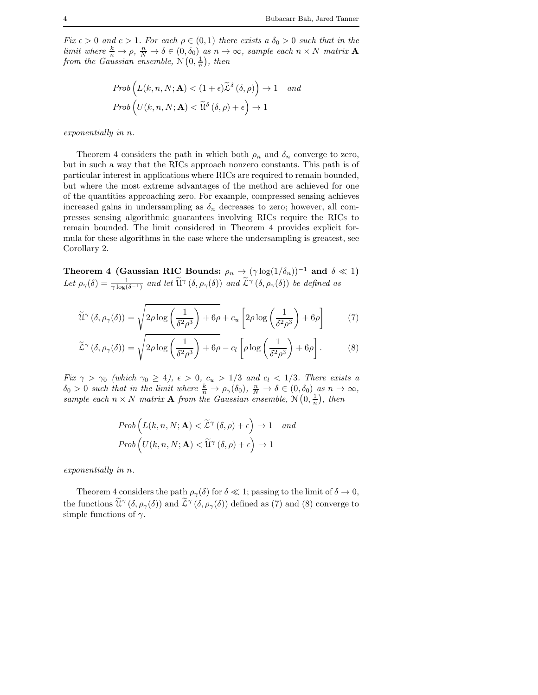*Fix*  $\epsilon > 0$  *and*  $c > 1$ *. For each*  $\rho \in (0, 1)$  *there exists a*  $\delta_0 > 0$  *such that in the limit where*  $\frac{k}{n} \to \rho$ ,  $\frac{n}{N} \to \delta \in (0, \delta_0)$  *as*  $n \to \infty$ *, sample each*  $n \times N$  *matrix* **A** from the Gaussian ensemble,  $\mathcal{N}\left(0, \frac{1}{n}\right)$ , then

$$
Prob\left(L(k, n, N; \mathbf{A}) < (1 + \epsilon)\widetilde{\mathcal{L}}^{\delta}\left(\delta, \rho\right)\right) \to 1 \quad and
$$

$$
Prob\left(U(k, n, N; \mathbf{A}) < \widetilde{\mathcal{U}}^{\delta}\left(\delta, \rho\right) + \epsilon\right) \to 1
$$

*exponentially in* n*.*

Theorem 4 considers the path in which both  $\rho_n$  and  $\delta_n$  converge to zero, but in such a way that the RICs approach nonzero constants. This path is of particular interest in applications where RICs are required to remain bounded, but where the most extreme advantages of the method are achieved for one of the quantities approaching zero. For example, compressed sensing achieves increased gains in undersampling as  $\delta_n$  decreases to zero; however, all compresses sensing algorithmic guarantees involving RICs require the RICs to remain bounded. The limit considered in Theorem 4 provides explicit formula for these algorithms in the case where the undersampling is greatest, see Corollary 2.

Theorem 4 (Gaussian RIC Bounds:  $\rho_n \to (\gamma \log(1/\delta_n))^{-1}$  and  $\delta \ll 1$ ) Let  $\rho_{\gamma}(\delta) = \frac{1}{\gamma \log(\delta - 1)}$  and let  $\widetilde{\mathfrak{U}}^{\gamma}(\delta, \rho_{\gamma}(\delta))$  and  $\widetilde{\mathcal{L}}^{\gamma}(\delta, \rho_{\gamma}(\delta))$  be defined as

$$
\widetilde{\mathfrak{U}}^{\gamma}\left(\delta,\rho_{\gamma}(\delta)\right) = \sqrt{2\rho \log\left(\frac{1}{\delta^2 \rho^3}\right) + 6\rho} + c_u \left[2\rho \log\left(\frac{1}{\delta^2 \rho^3}\right) + 6\rho\right] \tag{7}
$$

$$
\widetilde{\mathcal{L}}^{\gamma}\left(\delta,\rho_{\gamma}(\delta)\right) = \sqrt{2\rho \log\left(\frac{1}{\delta^2 \rho^3}\right) + 6\rho} - c_l \left[\rho \log\left(\frac{1}{\delta^2 \rho^3}\right) + 6\rho\right].
$$
 (8)

*Fix*  $\gamma > \gamma_0$  (which  $\gamma_0 \geq 4$ ),  $\epsilon > 0$ ,  $c_u > 1/3$  and  $c_l < 1/3$ . There exists a  $\delta_0 > 0$  such that in the limit where  $\frac{k}{n} \to \rho_\gamma(\delta_0)$ ,  $\frac{n}{N} \to \delta \in (0, \delta_0)$  as  $n \to \infty$ , sample each  $n \times N$  *matrix* **A** from the Gaussian ensemble,  $\mathcal{N}\left(0, \frac{1}{n}\right)$ , then

$$
Prob\left(L(k, n, N; \mathbf{A}) < \widetilde{\mathcal{L}}^{\gamma}(\delta, \rho) + \epsilon\right) \to 1 \quad and
$$

$$
Prob\left(U(k, n, N; \mathbf{A}) < \widetilde{\mathcal{U}}^{\gamma}(\delta, \rho) + \epsilon\right) \to 1
$$

*exponentially in* n*.*

Theorem 4 considers the path  $\rho_{\gamma}(\delta)$  for  $\delta \ll 1$ ; passing to the limit of  $\delta \to 0$ , the functions  $\widetilde{\mathcal{U}}^{\gamma}(\delta, \rho_{\gamma}(\delta))$  and  $\widetilde{\mathcal{L}}^{\gamma}(\delta, \rho_{\gamma}(\delta))$  defined as (7) and (8) converge to simple functions of  $\gamma$ .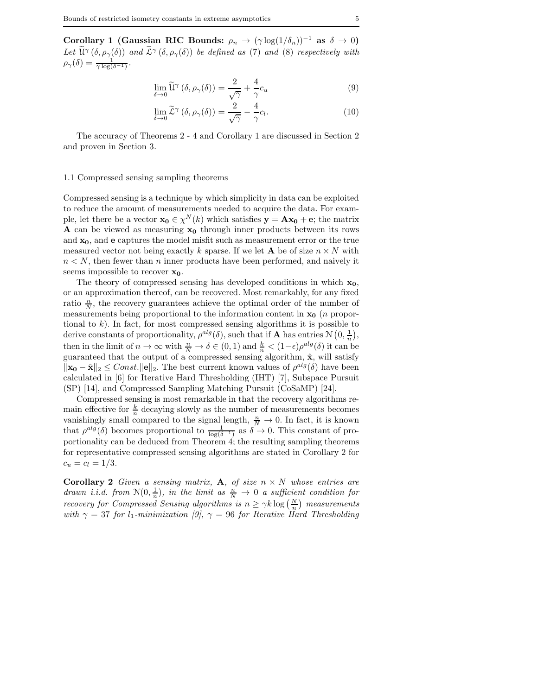Corollary 1 (Gaussian RIC Bounds:  $\rho_n \to (\gamma \log(1/\delta_n))^{-1}$  as  $\delta \to 0$ ) Let  $\widetilde{\mathfrak{U}}^{\gamma}(\delta, \rho_{\gamma}(\delta))$  *and*  $\widetilde{\mathcal{L}}^{\gamma}(\delta, \rho_{\gamma}(\delta))$  *be defined as* (7) *and* (8) *respectively with*  $\rho_{\gamma}(\delta) = \frac{1}{\gamma \log(\delta^{-1})}.$ 

$$
\lim_{\delta \to 0} \widetilde{\mathfrak{U}}^{\gamma} \left( \delta, \rho_{\gamma}(\delta) \right) = \frac{2}{\sqrt{\gamma}} + \frac{4}{\gamma} c_u \tag{9}
$$

$$
\lim_{\delta \to 0} \widetilde{\mathcal{L}}^{\gamma} \left( \delta, \rho_{\gamma}(\delta) \right) = \frac{2}{\sqrt{\gamma}} - \frac{4}{\gamma} c_l. \tag{10}
$$

The accuracy of Theorems 2 - 4 and Corollary 1 are discussed in Section 2 and proven in Section 3.

#### 1.1 Compressed sensing sampling theorems

Compressed sensing is a technique by which simplicity in data can be exploited to reduce the amount of measurements needed to acquire the data. For example, let there be a vector  $\mathbf{x_0} \in \chi^N(k)$  which satisfies  $\mathbf{y} = \mathbf{A}\mathbf{x_0} + \mathbf{e}$ ; the matrix  $A$  can be viewed as measuring  $x_0$  through inner products between its rows and  $x_0$ , and  $e$  captures the model misfit such as measurement error or the true measured vector not being exactly k sparse. If we let **A** be of size  $n \times N$  with  $n < N$ , then fewer than n inner products have been performed, and naively it seems impossible to recover  $x_0$ .

The theory of compressed sensing has developed conditions in which  $x_0$ , or an approximation thereof, can be recovered. Most remarkably, for any fixed ratio  $\frac{n}{N}$ , the recovery guarantees achieve the optimal order of the number of measurements being proportional to the information content in  $x_0$  (*n* proportional to  $k$ ). In fact, for most compressed sensing algorithms it is possible to derive constants of proportionality,  $\rho^{alg}(\delta)$ , such that if **A** has entries  $\mathcal{N}(0, \frac{1}{n}),$ then in the limit of  $n \to \infty$  with  $\frac{n}{N} \to \delta \in (0,1)$  and  $\frac{k}{n} < (1-\epsilon)\rho^{alg}(\delta)$  it can be guaranteed that the output of a compressed sensing algorithm,  $\hat{\mathbf{x}}$ , will satisfy  $\|\mathbf{x_0} - \hat{\mathbf{x}}\|_2 \leq Const. \|\mathbf{e}\|_2$ . The best current known values of  $\rho^{alg}(\delta)$  have been calculated in [6] for Iterative Hard Thresholding (IHT) [7], Subspace Pursuit (SP) [14], and Compressed Sampling Matching Pursuit (CoSaMP) [24].

Compressed sensing is most remarkable in that the recovery algorithms remain effective for  $\frac{k}{n}$  decaying slowly as the number of measurements becomes vanishingly small compared to the signal length,  $\frac{n}{N} \to 0$ . In fact, it is known that  $\rho^{alg}(\delta)$  becomes proportional to  $\frac{1}{\log(\delta^{-1})}$  as  $\delta \to 0$ . This constant of proportionality can be deduced from Theorem 4; the resulting sampling theorems for representative compressed sensing algorithms are stated in Corollary 2 for  $c_u = c_l = 1/3.$ 

**Corollary 2** *Given a sensing matrix,* **A**, *of size*  $n \times N$  *whose entries are drawn i.i.d.* from  $\mathcal{N}(0, \frac{1}{n})$ , in the limit as  $\frac{n}{N} \to 0$  a sufficient condition for *recovery for Compressed Sensing algorithms is*  $n \geq \gamma k \log\left(\frac{N}{n}\right)$  *measurements with*  $\gamma = 37$  *for*  $l_1$ *-minimization [9],*  $\gamma = 96$  *for Iterative Hard Thresholding*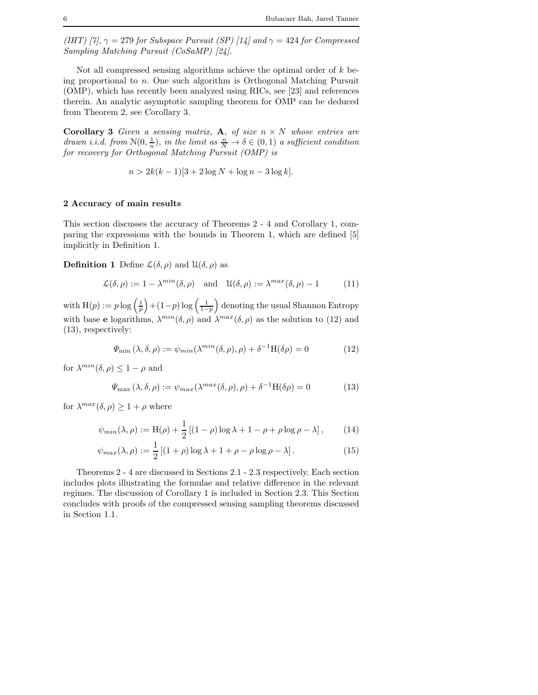*(IHT)* [7],  $\gamma = 279$  *for Subspace Pursuit (SP)* [14] and  $\gamma = 424$  *for Compressed Sampling Matching Pursuit (CoSaMP) [24].*

Not all compressed sensing algorithms achieve the optimal order of  $k$  being proportional to n. One such algorithm is Orthogonal Matching Pursuit (OMP), which has recently been analyzed using RICs, see [23] and references therein. An analytic asymptotic sampling theorem for OMP can be deduced from Theorem 2, see Corollary 3.

**Corollary 3** Given a sensing matrix, **A**, of size  $n \times N$  whose entries are *drawn i.i.d.* from  $\mathcal{N}(0, \frac{1}{n})$ , in the limit as  $\frac{n}{N} \to \delta \in (0, 1)$  a sufficient condition *for recovery for Orthogonal Matching Pursuit (OMP) is*

$$
n > 2k(k-1)[3+2\log N + \log n - 3\log k].
$$

### 2 Accuracy of main results

This section discusses the accuracy of Theorems 2 - 4 and Corollary 1, comparing the expressions with the bounds in Theorem 1, which are defined [5] implicitly in Definition 1.

**Definition 1** Define  $\mathcal{L}(\delta, \rho)$  and  $\mathcal{U}(\delta, \rho)$  as

$$
\mathcal{L}(\delta,\rho) := 1 - \lambda^{\min}(\delta,\rho) \quad \text{and} \quad \mathcal{U}(\delta,\rho) := \lambda^{\max}(\delta,\rho) - 1 \tag{11}
$$

with  $H(p) := p \log \left( \frac{1}{p} \right)$  $+(1-p)\log\left(\frac{1}{1-p}\right)$  denoting the usual Shannon Entropy with base **e** logarithms,  $\lambda^{min}(\delta, \rho)$  and  $\lambda^{max}(\delta, \rho)$  as the solution to (12) and (13), respectively:

$$
\Psi_{\min}(\lambda, \delta, \rho) := \psi_{\min}(\lambda^{\min}(\delta, \rho), \rho) + \delta^{-1} H(\delta \rho) = 0 \tag{12}
$$

for  $\lambda^{min}(\delta, \rho) \leq 1 - \rho$  and

$$
\Psi_{\text{max}}\left(\lambda,\delta,\rho\right) := \psi_{\text{max}}(\lambda^{\text{max}}(\delta,\rho),\rho) + \delta^{-1}H(\delta\rho) = 0 \tag{13}
$$

for  $\lambda^{max}(\delta, \rho) \geq 1 + \rho$  where

$$
\psi_{min}(\lambda, \rho) := H(\rho) + \frac{1}{2} \left[ (1 - \rho) \log \lambda + 1 - \rho + \rho \log \rho - \lambda \right], \qquad (14)
$$

$$
\psi_{max}(\lambda,\rho) := \frac{1}{2} \left[ (1+\rho)\log\lambda + 1 + \rho - \rho\log\rho - \lambda \right].
$$
 (15)

Theorems 2 - 4 are discussed in Sections 2.1 - 2.3 respectively. Each section includes plots illustrating the formulae and relative difference in the relevant regimes. The discussion of Corollary 1 is included in Section 2.3. This Section concludes with proofs of the compressed sensing sampling theorems discussed in Section 1.1.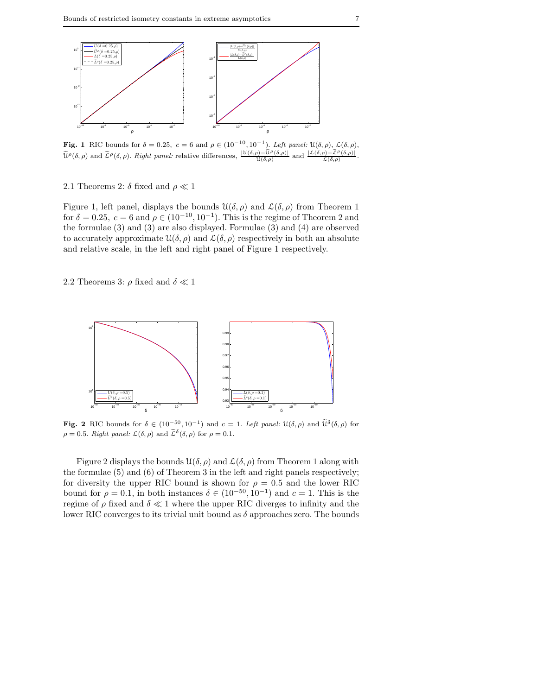

Fig. 1 RIC bounds for  $\delta = 0.25$ ,  $c = 6$  and  $\rho \in (10^{-10}, 10^{-1})$ . *Left panel:*  $\mathfrak{U}(\delta, \rho)$ ,  $\mathcal{L}(\delta, \rho)$ ,  $\widetilde{\mathfrak{U}}^{\rho}(\delta,\rho)$  and  $\widetilde{\mathcal{L}}^{\rho}(\delta,\rho)$ . *Right panel:* relative differences,  $\frac{|\mathfrak{U}(\delta,\rho)-\widetilde{\mathfrak{U}}^{\rho}(\delta,\rho)|}{\mathfrak{U}(\delta,\rho)}$  and  $\frac{|\mathcal{L}(\delta,\rho)-\widetilde{\mathcal{L}}^{\rho}(\delta,\rho)|}{\mathcal{L}(\delta,\rho)}$ 

2.1 Theorems 2:  $\delta$  fixed and  $\rho \ll 1$ 

Figure 1, left panel, displays the bounds  $\mathcal{U}(\delta,\rho)$  and  $\mathcal{L}(\delta,\rho)$  from Theorem 1 for  $\delta = 0.25$ ,  $c = 6$  and  $\rho \in (10^{-10}, 10^{-1})$ . This is the regime of Theorem 2 and the formulae (3) and (3) are also displayed. Formulae (3) and (4) are observed to accurately approximate  $\mathcal{U}(\delta,\rho)$  and  $\mathcal{L}(\delta,\rho)$  respectively in both an absolute and relative scale, in the left and right panel of Figure 1 respectively.

2.2 Theorems 3:  $\rho$  fixed and  $\delta \ll 1$ 



Fig. 2 RIC bounds for  $\delta \in (10^{-50}, 10^{-1})$  and  $c = 1$ . Left panel:  $\mathfrak{U}(\delta, \rho)$  and  $\widetilde{\mathfrak{U}}^{\delta}(\delta, \rho)$  for  $\rho = 0.5$ . *Right panel:*  $\mathcal{L}(\delta, \rho)$  and  $\tilde{\mathcal{L}}^{\delta}(\delta, \rho)$  for  $\rho = 0.1$ .

Figure 2 displays the bounds  $\mathfrak{U}(\delta,\rho)$  and  $\mathcal{L}(\delta,\rho)$  from Theorem 1 along with the formulae (5) and (6) of Theorem 3 in the left and right panels respectively; for diversity the upper RIC bound is shown for  $\rho = 0.5$  and the lower RIC bound for  $\rho = 0.1$ , in both instances  $\delta \in (10^{-50}, 10^{-1})$  and  $c = 1$ . This is the regime of  $\rho$  fixed and  $\delta \ll 1$  where the upper RIC diverges to infinity and the lower RIC converges to its trivial unit bound as  $\delta$  approaches zero. The bounds

.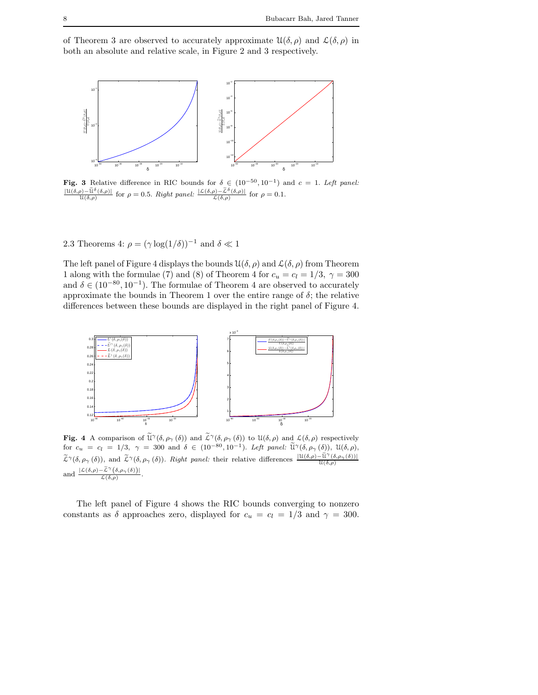of Theorem 3 are observed to accurately approximate  $\mathfrak{U}(\delta,\rho)$  and  $\mathcal{L}(\delta,\rho)$  in both an absolute and relative scale, in Figure 2 and 3 respectively.



**Fig. 3** Relative difference in RIC bounds for  $\delta \in (10^{-50}, 10^{-1})$  and  $c = 1$ . *Left panel:*  $\frac{|\mathfrak{U}(\delta,\rho)-\tilde{\mathfrak{U}}^{\delta}(\delta,\rho)|}{\mathfrak{U}(\delta,\rho)}$  for  $\rho = 0.5$ . *Right panel:*  $\frac{|\mathfrak{L}(\delta,\rho)-\tilde{\mathfrak{L}}^{\delta}(\delta,\rho)|}{\mathfrak{L}(\delta,\rho)}$ 

2.3 Theorems 4:  $\rho = (\gamma \log(1/\delta))^{-1}$  and  $\delta \ll 1$ 

The left panel of Figure 4 displays the bounds  $\mathfrak{U}(\delta,\rho)$  and  $\mathcal{L}(\delta,\rho)$  from Theorem 1 along with the formulae (7) and (8) of Theorem 4 for  $c_u = c_l = 1/3$ ,  $\gamma = 300$ and  $\delta \in (10^{-80}, 10^{-1})$ . The formulae of Theorem 4 are observed to accurately approximate the bounds in Theorem 1 over the entire range of  $\delta$ ; the relative differences between these bounds are displayed in the right panel of Figure 4.



Fig. 4 A comparison of  $\tilde{\mathfrak{U}}^{\gamma}(\delta, \rho_{\gamma}(\delta))$  and  $\tilde{\mathcal{L}}^{\gamma}(\delta, \rho_{\gamma}(\delta))$  to  $\mathfrak{U}(\delta, \rho)$  and  $\mathcal{L}(\delta, \rho)$  respectively for  $c_u = c_l = 1/3$ ,  $\gamma = 300$  and  $\delta \in (10^{-80}, 10^{-1})$ . *Left panel:*  $\tilde{\mathfrak{U}}^{\gamma}(\delta, \rho_{\gamma}(\delta))$ ,  $\mathfrak{U}(\delta, \rho)$ ,  $\widetilde{\mathcal{L}}^{\gamma}(\delta, \rho_{\gamma}(\delta))$ , and  $\widetilde{\mathcal{L}}^{\gamma}(\delta, \rho_{\gamma}(\delta))$ . *Right panel:* their relative differences  $\frac{|\mathfrak{U}(\delta, \rho) - \widetilde{\mathfrak{U}}^{\gamma}(\delta, \rho_{\gamma}(\delta))|}{\mathfrak{U}(\delta, \rho)}$ and  $\frac{|\mathcal{L}(\delta,\rho)-\tilde{\mathcal{L}}^{\gamma}(\delta,\rho_{\gamma}(\delta))|}{\mathcal{L}(\delta,\rho)}$ .

The left panel of Figure 4 shows the RIC bounds converging to nonzero constants as  $\delta$  approaches zero, displayed for  $c_u = c_l = 1/3$  and  $\gamma = 300$ .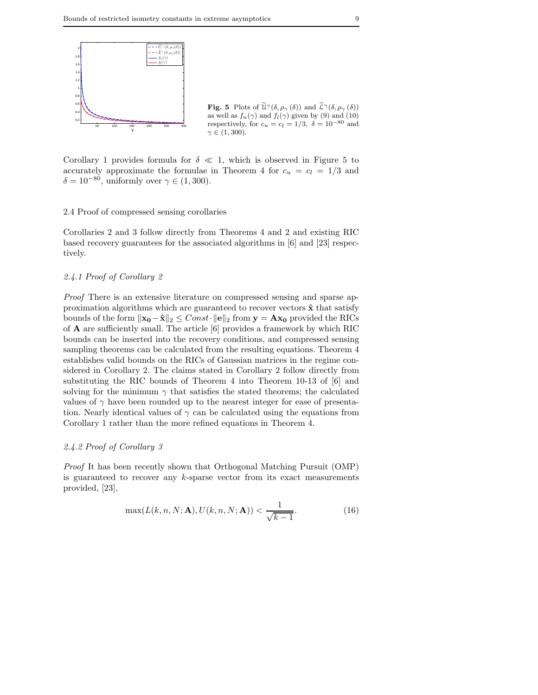

**Fig. 5** Plots of  $\widetilde{\mathfrak{U}}^{\gamma}(\delta, \rho_{\gamma}(\delta))$  and  $\widetilde{\mathcal{L}}^{\gamma}(\delta, \rho_{\gamma}(\delta))$ as well as  $f_u(\gamma)$  and  $f_l(\gamma)$  given by (9) and (10) respectively, for  $c_u = c_l = 1/3$ ,  $\delta = 10^{-80}$  and  $\gamma \in (1, 300)$ .

Corollary 1 provides formula for  $\delta \ll 1$ , which is observed in Figure 5 to accurately approximate the formulae in Theorem 4 for  $c_u = c_l = 1/3$  and  $\delta = 10^{-80}$ , uniformly over  $\gamma \in (1, 300)$ .

### 2.4 Proof of compressed sensing corollaries

Corollaries 2 and 3 follow directly from Theorems 4 and 2 and existing RIC based recovery guarantees for the associated algorithms in [6] and [23] respectively.

### *2.4.1 Proof of Corollary 2*

*Proof* There is an extensive literature on compressed sensing and sparse approximation algorithms which are guaranteed to recover vectors  $\hat{x}$  that satisfy bounds of the form  $||\mathbf{x}_0 - \hat{\mathbf{x}}||_2 \leq Const \cdot ||\mathbf{e}||_2$  from  $\mathbf{y} = \mathbf{A}\mathbf{x}_0$  provided the RICs of A are sufficiently small. The article [6] provides a framework by which RIC bounds can be inserted into the recovery conditions, and compressed sensing sampling theorems can be calculated from the resulting equations. Theorem 4 establishes valid bounds on the RICs of Gaussian matrices in the regime considered in Corollary 2. The claims stated in Corollary 2 follow directly from substituting the RIC bounds of Theorem 4 into Theorem 10-13 of [6] and solving for the minimum  $\gamma$  that satisfies the stated theorems; the calculated values of  $\gamma$  have been rounded up to the nearest integer for ease of presentation. Nearly identical values of  $\gamma$  can be calculated using the equations from Corollary 1 rather than the more refined equations in Theorem 4.

#### *2.4.2 Proof of Corollary 3*

*Proof* It has been recently shown that Orthogonal Matching Pursuit (OMP) is guaranteed to recover any  $k$ -sparse vector from its exact measurements provided, [23],

$$
\max(L(k, n, N; \mathbf{A}), U(k, n, N; \mathbf{A})) < \frac{1}{\sqrt{k-1}}.\tag{16}
$$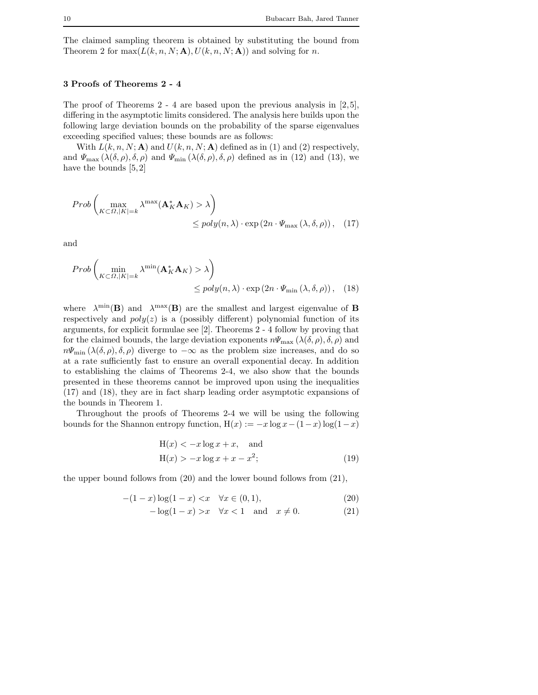The claimed sampling theorem is obtained by substituting the bound from Theorem 2 for  $\max(L(k, n, N; \mathbf{A}), U(k, n, N; \mathbf{A}))$  and solving for n.

### 3 Proofs of Theorems 2 - 4

The proof of Theorems 2 - 4 are based upon the previous analysis in [2,5], differing in the asymptotic limits considered. The analysis here builds upon the following large deviation bounds on the probability of the sparse eigenvalues exceeding specified values; these bounds are as follows:

With  $L(k, n, N; A)$  and  $U(k, n, N; A)$  defined as in (1) and (2) respectively, and  $\Psi_{\text{max}}(\lambda(\delta,\rho),\delta,\rho)$  and  $\Psi_{\text{min}}(\lambda(\delta,\rho),\delta,\rho)$  defined as in (12) and (13), we have the bounds [5,2]

$$
Prob\left(\max_{K \subset \Omega, |K|=k} \lambda^{\max}(\mathbf{A}_K^* \mathbf{A}_K) > \lambda\right)
$$
  
\$\leq\$  $poly(n, \lambda) \cdot exp(2n \cdot \Psi_{\max}(\lambda, \delta, \rho)), \quad (17)$$ 

and

$$
Prob\left(\min_{K \subset \Omega, |K|=k} \lambda^{\min}(\mathbf{A}_K^* \mathbf{A}_K) > \lambda\right) \leq poly(n, \lambda) \cdot \exp(2n \cdot \Psi_{\min}(\lambda, \delta, \rho)), \quad (18)
$$

where  $\lambda^{\min}(\mathbf{B})$  and  $\lambda^{\max}(\mathbf{B})$  are the smallest and largest eigenvalue of **B** respectively and  $poly(z)$  is a (possibly different) polynomial function of its arguments, for explicit formulae see [2]. Theorems 2 - 4 follow by proving that for the claimed bounds, the large deviation exponents  $n\Psi_{\text{max}}(\lambda(\delta,\rho),\delta,\rho)$  and  $n\Psi_{\min}(\lambda(\delta,\rho),\delta,\rho)$  diverge to  $-\infty$  as the problem size increases, and do so at a rate sufficiently fast to ensure an overall exponential decay. In addition to establishing the claims of Theorems 2-4, we also show that the bounds presented in these theorems cannot be improved upon using the inequalities (17) and (18), they are in fact sharp leading order asymptotic expansions of the bounds in Theorem 1.

Throughout the proofs of Theorems 2-4 we will be using the following bounds for the Shannon entropy function,  $H(x) := -x \log x - (1-x) \log(1-x)$ 

$$
H(x) < -x \log x + x, \text{ and}
$$
  
\n
$$
H(x) > -x \log x + x - x^2;
$$
\n(19)

the upper bound follows from (20) and the lower bound follows from (21),

$$
-(1-x)\log(1-x) < x \quad \forall x \in (0,1), \tag{20}
$$

$$
-\log(1-x) > x \quad \forall x < 1 \quad \text{and} \quad x \neq 0. \tag{21}
$$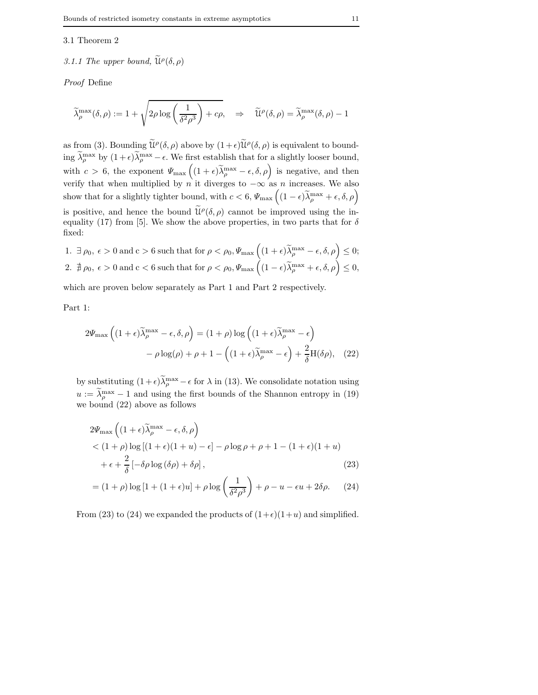#### 3.1 Theorem 2

# 3.1.1 The upper bound,  $\widetilde{\mathfrak{U}}^{\rho}(\delta,\rho)$

*Proof* Define

$$
\widetilde{\lambda}_{\rho}^{\max}(\delta,\rho) := 1 + \sqrt{2\rho \log \left( \frac{1}{\delta^2 \rho^3} \right) + c\rho}, \quad \Rightarrow \quad \widetilde{\mathcal{U}}^{\rho}(\delta,\rho) = \widetilde{\lambda}_{\rho}^{\max}(\delta,\rho) - 1
$$

as from (3). Bounding  $\tilde{\mathfrak{U}}^{\rho}(\delta,\rho)$  above by  $(1+\epsilon)\tilde{\mathfrak{U}}^{\rho}(\delta,\rho)$  is equivalent to bounding  $\lambda_{\rho}^{\max}$  by  $(1+\epsilon)\lambda_{\rho}^{\max} - \epsilon$ . We first establish that for a slightly looser bound, with  $c > 6$ , the exponent  $\Psi_{\text{max}}\left((1+\epsilon)\widetilde{\lambda}_{\rho}^{\text{max}}-\epsilon,\delta,\rho\right)$  is negative, and then verify that when multiplied by *n* it diverges to  $-\infty$  as *n* increases. We also show that for a slightly tighter bound, with  $c < 6$ ,  $\Psi_{\text{max}}\left((1 - \epsilon)\widetilde{\lambda}_{\rho}^{\text{max}} + \epsilon, \delta, \rho\right)$ is positive, and hence the bound  $\tilde{\mathfrak{U}}^{\rho}(\delta,\rho)$  cannot be improved using the inequality (17) from [5]. We show the above properties, in two parts that for  $\delta$ fixed:

1.  $\exists \rho_0, \epsilon > 0 \text{ and } c > 6 \text{ such that for } \rho < \rho_0, \Psi_{\text{max}} \left( (1 + \epsilon) \widetilde{\lambda}_{\rho}^{\text{max}} - \epsilon, \delta, \rho \right) \leq 0;$ 2.  $\sharp \rho_0, \epsilon > 0 \text{ and } c < 6 \text{ such that for } \rho < \rho_0, \Psi_{\text{max}}\left( (1 - \epsilon) \widetilde{\lambda}_{\rho}^{\text{max}} + \epsilon, \delta, \rho \right) \leq 0,$ 

which are proven below separately as Part 1 and Part 2 respectively.

Part 1:

$$
2\Psi_{\max}\left((1+\epsilon)\widetilde{\lambda}_{\rho}^{\max} - \epsilon, \delta, \rho\right) = (1+\rho)\log\left((1+\epsilon)\widetilde{\lambda}_{\rho}^{\max} - \epsilon\right)
$$

$$
-\rho\log(\rho) + \rho + 1 - \left((1+\epsilon)\widetilde{\lambda}_{\rho}^{\max} - \epsilon\right) + \frac{2}{\delta}H(\delta\rho), \quad (22)
$$

by substituting  $(1+\epsilon)\lambda_{\rho}^{\max}-\epsilon$  for  $\lambda$  in (13). We consolidate notation using  $u := \lambda_p^{\max} - 1$  and using the first bounds of the Shannon entropy in (19) we bound (22) above as follows

$$
2\Psi_{\max}\left((1+\epsilon)\widetilde{\lambda}_{\rho}^{\max} - \epsilon, \delta, \rho\right)
$$
  
< 
$$
< (1+\rho)\log\left[(1+\epsilon)(1+u) - \epsilon\right] - \rho\log\rho + \rho + 1 - (1+\epsilon)(1+u)
$$
  

$$
+ \epsilon + \frac{2}{\delta}\left[-\delta\rho\log\left(\delta\rho\right) + \delta\rho\right],
$$
 (23)

$$
= (1+\rho)\log\left[1+(1+\epsilon)u\right] + \rho\log\left(\frac{1}{\delta^2\rho^3}\right) + \rho - u - \epsilon u + 2\delta\rho. \tag{24}
$$

From (23) to (24) we expanded the products of  $(1+\epsilon)(1+u)$  and simplified.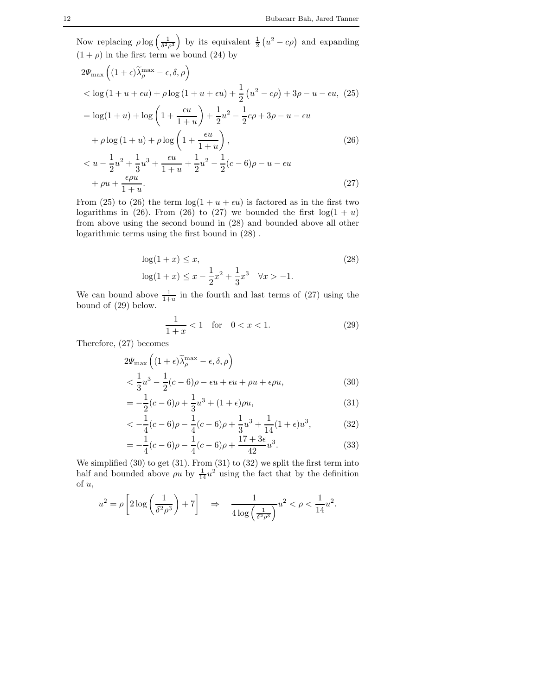Now replacing  $\rho \log \left( \frac{1}{\delta^2 \rho^3} \right)$ ) by its equivalent  $\frac{1}{2}(u^2 - c\rho)$  and expanding  $(1 + \rho)$  in the first term we bound (24) by

$$
2\Psi_{\max} \left( (1 + \epsilon) \tilde{\lambda}_{\rho}^{\max} - \epsilon, \delta, \rho \right)
$$
  

$$
< \log (1 + u + \epsilon u) + \rho \log (1 + u + \epsilon u) + \frac{1}{2} (u^2 - c\rho) + 3\rho - u - \epsilon u, (25)
$$
  

$$
= \log(1 + u) + \log \left( 1 + \frac{\epsilon u}{1 + u} \right) + \frac{1}{2} u^2 - \frac{1}{2} c\rho + 3\rho - u - \epsilon u
$$
  

$$
+ \rho \log (1 + u) + \rho \log \left( 1 + \frac{\epsilon u}{1 + u} \right),
$$
  

$$
< u - \frac{1}{2} u^2 + \frac{1}{3} u^3 + \frac{\epsilon u}{1 + u} + \frac{1}{2} u^2 - \frac{1}{2} (c - 6) \rho - u - \epsilon u
$$
  

$$
+ \rho u + \frac{\epsilon \rho u}{1 + u}.
$$
 (27)

From (25) to (26) the term  $\log(1 + u + \epsilon u)$  is factored as in the first two logarithms in (26). From (26) to (27) we bounded the first  $log(1 + u)$ from above using the second bound in (28) and bounded above all other logarithmic terms using the first bound in (28) .

$$
\log(1+x) \le x,
$$
  
\n
$$
\log(1+x) \le x - \frac{1}{2}x^2 + \frac{1}{3}x^3 \quad \forall x > -1.
$$
\n(28)

We can bound above  $\frac{1}{1+u}$  in the fourth and last terms of (27) using the bound of (29) below.

$$
\frac{1}{1+x} < 1 \quad \text{for} \quad 0 < x < 1. \tag{29}
$$

Therefore, (27) becomes

$$
2\Psi_{\max}\left((1+\epsilon)\widetilde{\lambda}_{\rho}^{\max} - \epsilon, \delta, \rho\right)
$$
  

$$
< \frac{1}{3}u^3 - \frac{1}{2}(c-6)\rho - \epsilon u + \epsilon u + \rho u + \epsilon \rho u,
$$
 (30)

$$
=-\frac{1}{2}(c-6)\rho+\frac{1}{3}u^3+(1+\epsilon)\rho u,
$$
\n(31)

$$
\langle -\frac{1}{4}(c-6)\rho - \frac{1}{4}(c-6)\rho + \frac{1}{3}u^3 + \frac{1}{14}(1+\epsilon)u^3, \tag{32}
$$

$$
=-\frac{1}{4}(c-6)\rho - \frac{1}{4}(c-6)\rho + \frac{17+3\epsilon}{42}u^3.
$$
 (33)

We simplified  $(30)$  to get  $(31)$ . From  $(31)$  to  $(32)$  we split the first term into half and bounded above  $\rho u$  by  $\frac{1}{14}u^2$  using the fact that by the definition of u,

$$
u^{2} = \rho \left[ 2 \log \left( \frac{1}{\delta^{2} \rho^{3}} \right) + 7 \right] \quad \Rightarrow \quad \frac{1}{4 \log \left( \frac{1}{\delta^{2} \rho^{3}} \right)} u^{2} < \rho < \frac{1}{14} u^{2}.
$$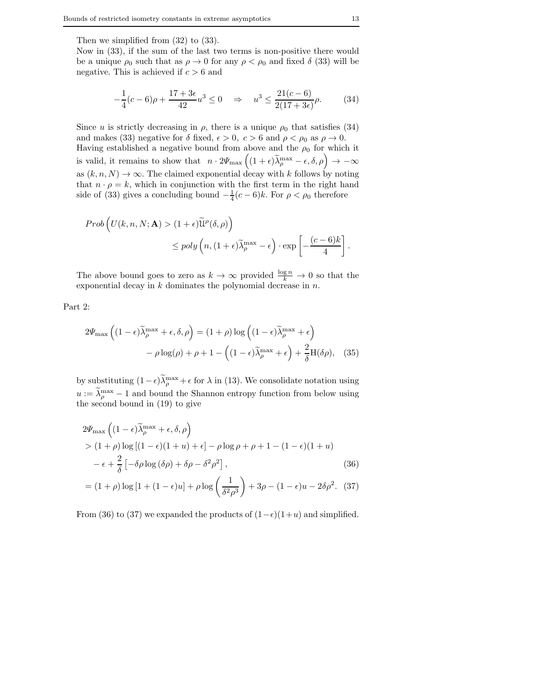Then we simplified from (32) to (33).

Now in (33), if the sum of the last two terms is non-positive there would be a unique  $\rho_0$  such that as  $\rho \to 0$  for any  $\rho < \rho_0$  and fixed  $\delta$  (33) will be negative. This is achieved if  $c > 6$  and

$$
-\frac{1}{4}(c-6)\rho + \frac{17+3\epsilon}{42}u^3 \le 0 \quad \Rightarrow \quad u^3 \le \frac{21(c-6)}{2(17+3\epsilon)}\rho. \tag{34}
$$

Since u is strictly decreasing in  $\rho$ , there is a unique  $\rho_0$  that satisfies (34) and makes (33) negative for  $\delta$  fixed,  $\epsilon > 0$ ,  $c > 6$  and  $\rho < \rho_0$  as  $\rho \to 0$ . Having established a negative bound from above and the  $\rho_0$  for which it is valid, it remains to show that  $n \cdot 2\Psi_{\text{max}}\left((1+\epsilon)\widetilde{\lambda}_{\rho}^{\text{max}}-\epsilon,\delta,\rho\right) \to -\infty$ as  $(k, n, N) \to \infty$ . The claimed exponential decay with k follows by noting that  $n \cdot \rho = k$ , which in conjunction with the first term in the right hand side of (33) gives a concluding bound  $-\frac{1}{4}(c-6)k$ . For  $\rho < \rho_0$  therefore

$$
Prob\left(U(k, n, N; \mathbf{A}) > (1 + \epsilon)\widetilde{\mathcal{U}}^{\rho}(\delta, \rho)\right) \leq poly\left(n, (1 + \epsilon)\widetilde{\lambda}_{\rho}^{\max} - \epsilon\right) \cdot \exp\left[-\frac{(c - 6)k}{4}\right].
$$

The above bound goes to zero as  $k \to \infty$  provided  $\frac{\log n}{k} \to 0$  so that the exponential decay in  $k$  dominates the polynomial decrease in  $n$ .

Part 2:

$$
2\Psi_{\max}\left((1-\epsilon)\widetilde{\lambda}_{\rho}^{\max}+\epsilon,\delta,\rho\right)=(1+\rho)\log\left((1-\epsilon)\widetilde{\lambda}_{\rho}^{\max}+\epsilon\right)
$$

$$
-\rho\log(\rho)+\rho+1-\left((1-\epsilon)\widetilde{\lambda}_{\rho}^{\max}+\epsilon\right)+\frac{2}{\delta}\mathrm{H}(\delta\rho),\quad(35)
$$

by substituting  $(1 - \epsilon)\lambda_p^{\max} + \epsilon$  for  $\lambda$  in (13). We consolidate notation using  $u := \lambda_p^{\max} - 1$  and bound the Shannon entropy function from below using the second bound in (19) to give

$$
2\Psi_{\max}\left((1-\epsilon)\widetilde{\lambda}_{\rho}^{\max}+\epsilon,\delta,\rho\right) > (1+\rho)\log\left[(1-\epsilon)(1+u)+\epsilon\right]-\rho\log\rho+\rho+1-(1-\epsilon)(1+u) -\epsilon+\frac{2}{\delta}\left[-\delta\rho\log\left(\delta\rho\right)+\delta\rho-\delta^{2}\rho^{2}\right],
$$
(36)

$$
= (1 + \rho) \log [1 + (1 - \epsilon)u] + \rho \log \left(\frac{1}{\delta^2 \rho^3}\right) + 3\rho - (1 - \epsilon)u - 2\delta \rho^2. \tag{37}
$$

From (36) to (37) we expanded the products of  $(1-\epsilon)(1+u)$  and simplified.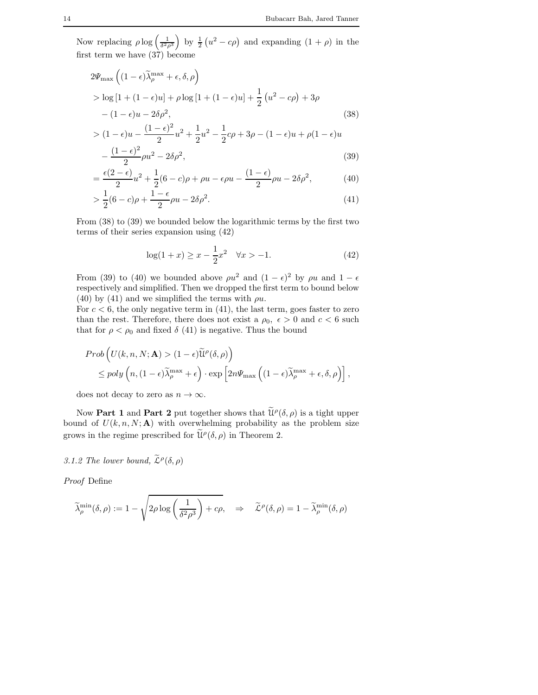Now replacing  $\rho \log \left( \frac{1}{\delta^2 \rho^3} \right)$ by  $\frac{1}{2}(u^2 - c\rho)$  and expanding  $(1 + \rho)$  in the first term we have  $(37)$  become

$$
2\Psi_{\max}\left((1-\epsilon)\widetilde{\lambda}_{\rho}^{\max}+\epsilon,\delta,\rho\right)
$$
  
> 
$$
\log\left[1+(1-\epsilon)u\right]+\rho\log\left[1+(1-\epsilon)u\right]+\frac{1}{2}\left(u^{2}-c\rho\right)+3\rho
$$
  

$$
-(1-\epsilon)u-2\delta\rho^{2},
$$
  
> 
$$
(1-\epsilon)u-\frac{(1-\epsilon)^{2}}{2}u^{2}+\frac{1}{2}u^{2}-\frac{1}{2}c\rho+3\rho-(1-\epsilon)u+\rho(1-\epsilon)u
$$
  

$$
-\frac{(1-\epsilon)^{2}}{2}u^{2}-2\delta\rho^{2}
$$
 (39)

$$
-\frac{(1-\epsilon)}{2}\rho u^2 - 2\delta \rho^2,
$$
\n
$$
=\frac{\epsilon(2-\epsilon)}{u^2 + \frac{1}{2}(\epsilon - \epsilon)\rho + \rho u - \epsilon \rho u - \frac{(1-\epsilon)}{\rho u - \rho \delta \rho^2}}.
$$
\n(39)

$$
= \frac{e(2-e)}{2}u^2 + \frac{1}{2}(6-c)\rho + \rho u - \epsilon \rho u - \frac{(1-e)}{2}\rho u - 2\delta \rho^2,
$$
(40)

$$
> \frac{1}{2}(6-c)\rho + \frac{1-\epsilon}{2}\rho u - 2\delta\rho^2.
$$
 (41)

From (38) to (39) we bounded below the logarithmic terms by the first two terms of their series expansion using (42)

$$
\log(1+x) \ge x - \frac{1}{2}x^2 \quad \forall x > -1.
$$
 (42)

From (39) to (40) we bounded above  $\rho u^2$  and  $(1 - \epsilon)^2$  by  $\rho u$  and  $1 - \epsilon$ respectively and simplified. Then we dropped the first term to bound below (40) by (41) and we simplified the terms with  $\rho u$ .

For  $c < 6$ , the only negative term in (41), the last term, goes faster to zero than the rest. Therefore, there does not exist a  $\rho_0$ ,  $\epsilon > 0$  and  $c < 6$  such that for  $\rho < \rho_0$  and fixed  $\delta$  (41) is negative. Thus the bound

$$
Prob\left(U(k, n, N; \mathbf{A}) > (1 - \epsilon)\widetilde{\mathfrak{U}}^{\rho}(\delta, \rho)\right)
$$
  
\$\leq\$ poly  $\left(n, (1 - \epsilon)\widetilde{\lambda}_\rho^{\max} + \epsilon\right) \cdot \exp\left[2n\Psi_{\max}\left((1 - \epsilon)\widetilde{\lambda}_\rho^{\max} + \epsilon, \delta, \rho\right)\right],$$ 

does not decay to zero as  $n \to \infty$ .

Now **Part 1** and **Part 2** put together shows that  $\tilde{\mathcal{U}}^{\rho}(\delta, \rho)$  is a tight upper bound of  $U(k, n, N; A)$  with overwhelming probability as the problem size grows in the regime prescribed for  $\tilde{\mathcal{U}}^{\rho}(\delta,\rho)$  in Theorem 2.

# 3.1.2 The lower bound,  $\widetilde{\mathcal{L}}^{\rho}(\delta,\rho)$

*Proof* Define

$$
\widetilde{\lambda}_{\rho}^{\min}(\delta, \rho) := 1 - \sqrt{2\rho \log \left(\frac{1}{\delta^2 \rho^3}\right) + c\rho}, \quad \Rightarrow \quad \widetilde{\mathcal{L}}^{\rho}(\delta, \rho) = 1 - \widetilde{\lambda}_{\rho}^{\min}(\delta, \rho)
$$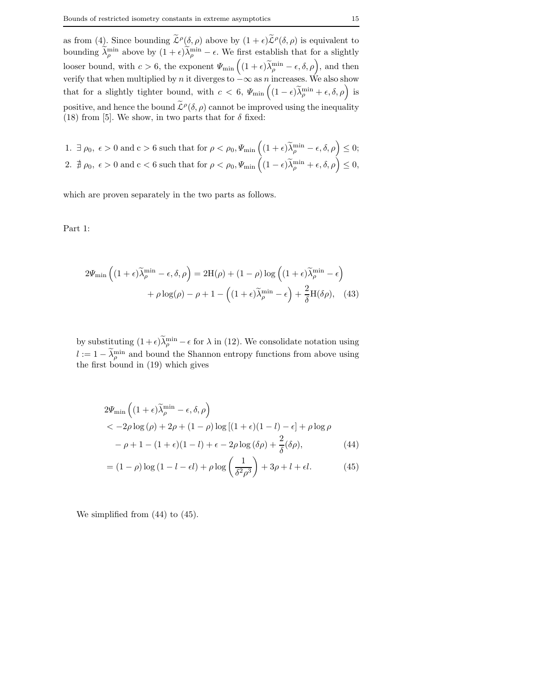as from (4). Since bounding  $\tilde{\mathcal{L}}^{\rho}(\delta,\rho)$  above by  $(1+\epsilon)\tilde{\mathcal{L}}^{\rho}(\delta,\rho)$  is equivalent to bounding  $\lambda_{\rho}^{\min}$  above by  $(1+\epsilon)\lambda_{\rho}^{\min} - \epsilon$ . We first establish that for a slightly looser bound, with  $c > 6$ , the exponent  $\Psi_{\min} \left( (1 + \epsilon) \widetilde{\lambda}_{\rho}^{\min} - \epsilon, \delta, \rho \right)$ , and then verify that when multiplied by *n* it diverges to  $-\infty$  as *n* increases. We also show that for a slightly tighter bound, with  $c < 6$ ,  $\Psi_{\min} \left( (1 - \epsilon) \widetilde{\lambda}_{\rho}^{\min} + \epsilon, \delta, \rho \right)$  is positive, and hence the bound  $\tilde{\mathcal{L}}^{\rho}(\delta,\rho)$  cannot be improved using the inequality (18) from [5]. We show, in two parts that for  $\delta$  fixed:

1. 
$$
\exists \rho_0, \epsilon > 0
$$
 and  $c > 6$  such that for  $\rho < \rho_0$ ,  $\Psi_{\min} \left( (1 + \epsilon) \widetilde{\lambda}_{\rho}^{\min} - \epsilon, \delta, \rho \right) \leq 0$ ;  
2.  $\nexists \rho_0, \epsilon > 0$  and  $c < 6$  such that for  $\rho < \rho_0$ ,  $\Psi_{\min} \left( (1 - \epsilon) \widetilde{\lambda}_{\rho}^{\min} + \epsilon, \delta, \rho \right) \leq 0$ ,

which are proven separately in the two parts as follows.

Part 1:

$$
2\Psi_{\min}\left((1+\epsilon)\widetilde{\lambda}_{\rho}^{\min}-\epsilon,\delta,\rho\right) = 2H(\rho) + (1-\rho)\log\left((1+\epsilon)\widetilde{\lambda}_{\rho}^{\min}-\epsilon\right) + \rho\log(\rho) - \rho + 1 - \left((1+\epsilon)\widetilde{\lambda}_{\rho}^{\min}-\epsilon\right) + \frac{2}{\delta}H(\delta\rho), \quad (43)
$$

by substituting  $(1+\epsilon)\lambda_{\rho}^{\min}-\epsilon$  for  $\lambda$  in (12). We consolidate notation using  $l := 1 - \lambda_\rho^{\min}$  and bound the Shannon entropy functions from above using the first bound in (19) which gives

$$
2\Psi_{\min}\left((1+\epsilon)\widetilde{\lambda}_{\rho}^{\min}-\epsilon,\delta,\rho\right) < -2\rho\log\left(\rho\right)+2\rho+(1-\rho)\log\left[(1+\epsilon)(1-l)-\epsilon\right]+\rho\log\rho -\rho+1-(1+\epsilon)(1-l)+\epsilon-2\rho\log\left(\delta\rho\right)+\frac{2}{\delta}(\delta\rho),
$$
(44)

$$
= (1 - \rho) \log \left(1 - l - \epsilon l\right) + \rho \log \left(\frac{1}{\delta^2 \rho^3}\right) + 3\rho + l + \epsilon l. \tag{45}
$$

We simplified from (44) to (45).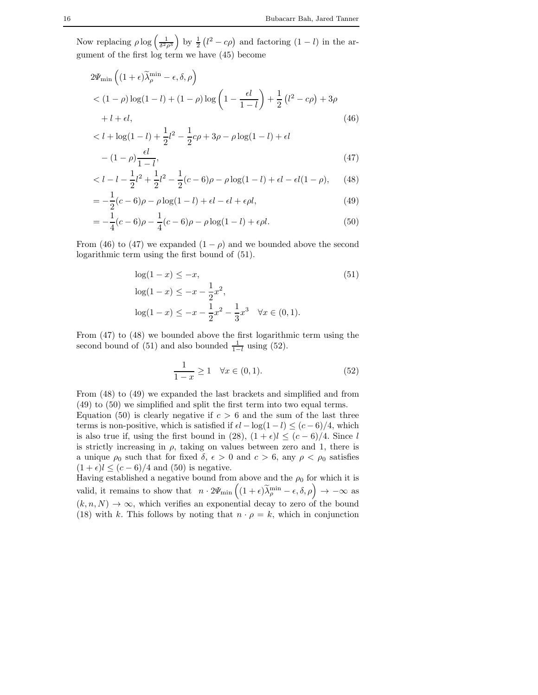Now replacing  $\rho \log \left( \frac{1}{\delta^2 \rho^3} \right)$ ) by  $\frac{1}{2}$  ( $l^2 - c\rho$ ) and factoring (1 – l) in the argument of the first log term we have (45) become

$$
2\Psi_{\min}\left((1+\epsilon)\tilde{\lambda}_{\rho}^{\min}-\epsilon,\delta,\rho\right)
$$
  
< 
$$
< (1-\rho)\log(1-l) + (1-\rho)\log\left(1-\frac{\epsilon l}{1-l}\right) + \frac{1}{2}\left(l^2 - c\rho\right) + 3\rho
$$
  

$$
+ l + \epsilon l,
$$
 (46)

$$
\langle l + \log(1 - l) + \frac{1}{2}l^2 - \frac{1}{2}c\rho + 3\rho - \rho\log(1 - l) + \epsilon l
$$

$$
- (1 - \rho)\frac{\epsilon l}{1 - l}, \tag{47}
$$

$$
\langle l - l - \frac{1}{2}l^2 + \frac{1}{2}l^2 - \frac{1}{2}(c - 6)\rho - \rho \log(1 - l) + \epsilon l - \epsilon l (1 - \rho), \qquad (48)
$$

$$
= -\frac{1}{2}(c-6)\rho - \rho \log(1-l) + \epsilon l - \epsilon l + \epsilon \rho l, \tag{49}
$$

$$
= -\frac{1}{4}(c-6)\rho - \frac{1}{4}(c-6)\rho - \rho \log(1-l) + \epsilon \rho l. \tag{50}
$$

From (46) to (47) we expanded  $(1 - \rho)$  and we bounded above the second logarithmic term using the first bound of (51).

$$
\log(1 - x) \le -x,
$$
  
\n
$$
\log(1 - x) \le -x - \frac{1}{2}x^2,
$$
  
\n
$$
\log(1 - x) \le -x - \frac{1}{2}x^2 - \frac{1}{3}x^3 \quad \forall x \in (0, 1).
$$
\n(51)

From (47) to (48) we bounded above the first logarithmic term using the second bound of (51) and also bounded  $\frac{1}{1-l}$  using (52).

$$
\frac{1}{1-x} \ge 1 \quad \forall x \in (0,1). \tag{52}
$$

From (48) to (49) we expanded the last brackets and simplified and from (49) to (50) we simplified and split the first term into two equal terms.

Equation (50) is clearly negative if  $c > 6$  and the sum of the last three terms is non-positive, which is satisfied if  $\epsilon l - \log(1 - l) \le (c - 6)/4$ , which is also true if, using the first bound in (28),  $(1 + \epsilon)l \leq (c - 6)/4$ . Since l is strictly increasing in  $\rho$ , taking on values between zero and 1, there is a unique  $\rho_0$  such that for fixed  $\delta$ ,  $\epsilon > 0$  and  $c > 6$ , any  $\rho < \rho_0$  satisfies  $(1 + \epsilon)l \le (c - 6)/4$  and (50) is negative.

Having established a negative bound from above and the  $\rho_0$  for which it is valid, it remains to show that  $n \cdot 2\Psi_{\min} \left( (1+\epsilon)\widetilde{\lambda}_{\rho}^{\min} - \epsilon, \delta, \rho \right) \to -\infty$  as  $(k, n, N) \rightarrow \infty$ , which verifies an exponential decay to zero of the bound (18) with k. This follows by noting that  $n \cdot \rho = k$ , which in conjunction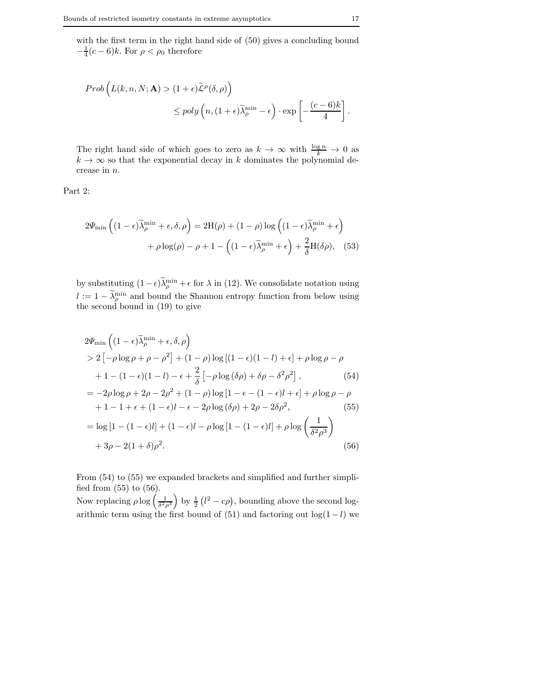with the first term in the right hand side of  $(50)$  gives a concluding bound  $-\frac{1}{4}(c-6)k$ . For  $\rho < \rho_0$  therefore

$$
Prob\left(L(k, n, N; \mathbf{A}) > (1 + \epsilon)\widetilde{\mathcal{L}}^{\rho}(\delta, \rho)\right)
$$
  
\$\leq\$ poly $\left(n, (1 + \epsilon)\widetilde{\lambda}_{\rho}^{\min} - \epsilon\right) \cdot \exp\left[-\frac{(c - 6)k}{4}\right].$ 

The right hand side of which goes to zero as  $k \to \infty$  with  $\frac{\log n}{k} \to 0$  as  $k \to \infty$  so that the exponential decay in k dominates the polynomial decrease in n.

Part 2:

$$
2\Psi_{\min}\left((1-\epsilon)\widetilde{\lambda}_{\rho}^{\min}+\epsilon,\delta,\rho\right) = 2H(\rho) + (1-\rho)\log\left((1-\epsilon)\widetilde{\lambda}_{\rho}^{\min}+\epsilon\right) + \rho\log(\rho) - \rho + 1 - \left((1-\epsilon)\widetilde{\lambda}_{\rho}^{\min}+\epsilon\right) + \frac{2}{\delta}H(\delta\rho), \quad (53)
$$

by substituting  $(1 - \epsilon)\lambda_p^{\min} + \epsilon$  for  $\lambda$  in (12). We consolidate notation using  $l := 1 - \lambda_p^{\min}$  and bound the Shannon entropy function from below using the second bound in (19) to give

$$
2\Psi_{\min}\left((1-\epsilon)\tilde{\lambda}_{\rho}^{\min}+\epsilon,\delta,\rho\right)
$$
  
> 2\left[-\rho\log\rho+\rho-\rho^{2}\right]+(1-\rho)\log\left[(1-\epsilon)(1-l)+\epsilon\right]+\rho\log\rho-\rho  
+1-(1-\epsilon)(1-l)-\epsilon+\frac{2}{\delta}\left[-\rho\log(\delta\rho)+\delta\rho-\delta^{2}\rho^{2}\right], (54)  
=-2\rho\log\rho+2\rho-2\rho^{2}+(1-\rho)\log\left[1-\epsilon-(1-\epsilon)l+\epsilon\right]+\rho\log\rho-\rho  
+1-1+\epsilon+(1-\epsilon)l-\epsilon-2\rho\log(\delta\rho)+2\rho-2\delta\rho^{2}, (55)  
=\log\left[1-(1-\epsilon)l\right]+(1-\epsilon)l-\rho\log\left[1-(1-\epsilon)l\right]+\rho\log\left(\frac{1}{\delta^{2}\rho^{3}}\right)  
+3\rho-2(1+\delta)\rho^{2}.\n(56)

From  $(54)$  to  $(55)$  we expanded brackets and simplified and further simplified from (55) to (56).

Now replacing  $\rho \log \left( \frac{1}{\delta^2 \rho^3} \right)$  $\int$  by  $\frac{1}{2} (l^2 - c\rho)$ , bounding above the second logarithmic term using the first bound of (51) and factoring out  $log(1 - l)$  we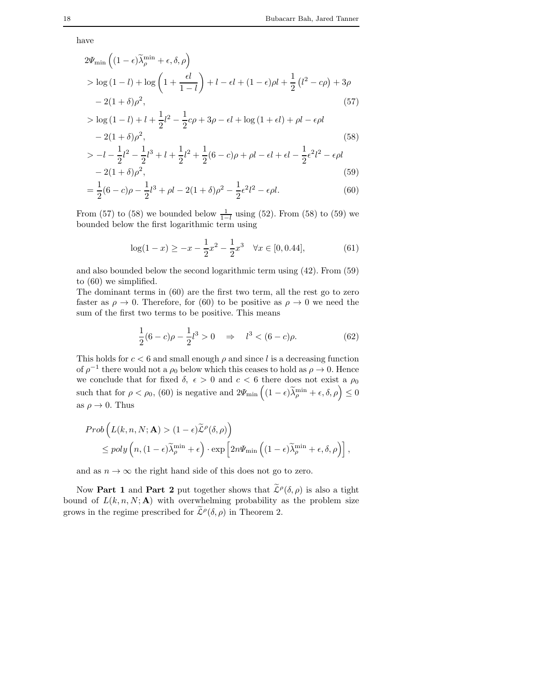have

$$
2\Psi_{\min}\left((1-\epsilon)\widetilde{\lambda}_{\rho}^{\min}+\epsilon,\delta,\rho\right)
$$
  
> log (1-l) + log  $\left(1+\frac{\epsilon l}{1-l}\right)$  + l - \epsilon l + (1-\epsilon)\rho l +  $\frac{1}{2}$  (l<sup>2</sup>-c\rho) + 3\rho  
- 2(1+\delta)\rho<sup>2</sup>, (57)

$$
> \log (1 - l) + l + \frac{1}{2}l^{2} - \frac{1}{2}c\rho + 3\rho - \epsilon l + \log (1 + \epsilon l) + \rho l - \epsilon \rho l
$$
  
- 2(1 + \delta)\rho<sup>2</sup>, (58)

$$
> -l - \frac{1}{2}l^2 - \frac{1}{2}l^3 + l + \frac{1}{2}l^2 + \frac{1}{2}(6-c)\rho + \rho l - \epsilon l + \epsilon l - \frac{1}{2}\epsilon^2 l^2 - \epsilon \rho l
$$
  
- 2(1 + \delta)\rho<sup>2</sup>, (59)

$$
= \frac{1}{2}(6-c)\rho - \frac{1}{2}l^3 + \rho l - 2(1+\delta)\rho^2 - \frac{1}{2}\epsilon^2l^2 - \epsilon\rho l.
$$
\n(60)

From (57) to (58) we bounded below  $\frac{1}{1-l}$  using (52). From (58) to (59) we bounded below the first logarithmic term using

$$
\log(1-x) \ge -x - \frac{1}{2}x^2 - \frac{1}{2}x^3 \quad \forall x \in [0, 0.44],\tag{61}
$$

and also bounded below the second logarithmic term using (42). From (59) to (60) we simplified.

The dominant terms in (60) are the first two term, all the rest go to zero faster as  $\rho \to 0$ . Therefore, for (60) to be positive as  $\rho \to 0$  we need the sum of the first two terms to be positive. This means

$$
\frac{1}{2}(6-c)\rho - \frac{1}{2}l^3 > 0 \quad \Rightarrow \quad l^3 < (6-c)\rho. \tag{62}
$$

This holds for  $c < 6$  and small enough  $\rho$  and since l is a decreasing function of  $\rho^{-1}$  there would not a  $\rho_0$  below which this ceases to hold as  $\rho \to 0$ . Hence we conclude that for fixed  $\delta$ ,  $\epsilon > 0$  and  $c < 6$  there does not exist a  $\rho_0$ such that for  $\rho < \rho_0$ , (60) is negative and  $2\Psi_{\min}\left((1-\epsilon)\widetilde{\lambda}_{\rho}^{\min} + \epsilon, \delta, \rho\right) \leq 0$ as  $\rho \to 0$ . Thus

$$
Prob\left(L(k, n, N; \mathbf{A}) > (1 - \epsilon)\widetilde{\mathcal{L}}^{\rho}(\delta, \rho)\right)
$$
  
\$\leq\$ poly  $\left(n, (1 - \epsilon)\widetilde{\lambda}_{\rho}^{\min} + \epsilon\right) \cdot \exp\left[2n\Psi_{\min}\left((1 - \epsilon)\widetilde{\lambda}_{\rho}^{\min} + \epsilon, \delta, \rho\right)\right],$$ 

and as  $n \to \infty$  the right hand side of this does not go to zero.

Now **Part 1** and **Part 2** put together shows that  $\tilde{\mathcal{L}}^{\rho}(\delta,\rho)$  is also a tight bound of  $L(k, n, N; A)$  with overwhelming probability as the problem size grows in the regime prescribed for  $\tilde{\mathcal{L}}^{\rho}(\delta,\rho)$  in Theorem 2.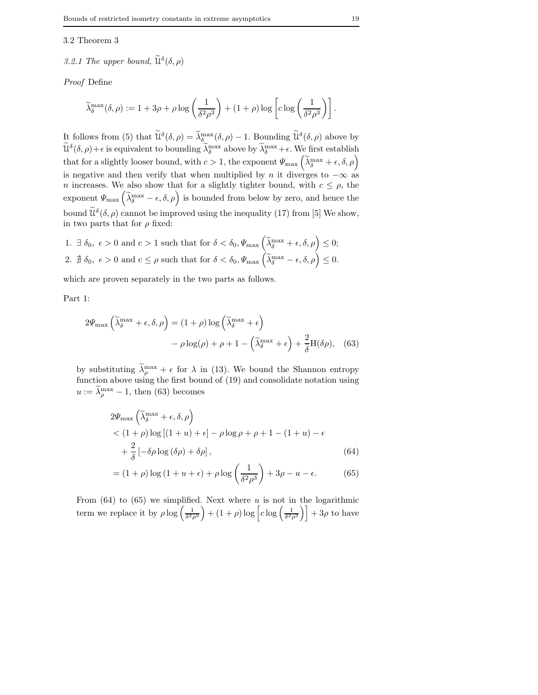### 3.2 Theorem 3

# 3.2.1 The upper bound,  $\widetilde{\mathfrak{u}}^{\delta}(\delta,\rho)$

*Proof* Define

$$
\widetilde{\lambda}_{\delta}^{\max}(\delta,\rho) := 1 + 3\rho + \rho\log\left(\frac{1}{\delta^2\rho^3}\right) + (1+\rho)\log\left[c\log\left(\frac{1}{\delta^2\rho^3}\right)\right].
$$

It follows from (5) that  $\widetilde{\mathcal{U}}^{\delta}(\delta,\rho) = \widetilde{\lambda}_{\delta}^{\max}(\delta,\rho) - 1$ . Bounding  $\widetilde{\mathcal{U}}^{\delta}(\delta,\rho)$  above by  $\widetilde{\mathcal{U}}^{\delta}(\delta,\rho)+\epsilon$  is equivalent to bounding  $\widetilde{\lambda}_{\delta}^{\max}$  above by  $\widetilde{\lambda}_{\delta}^{\max}+\epsilon$ . We first establish that for a slightly looser bound, with  $c > 1$ , the exponent  $\Psi_{\text{max}}\left(\widetilde{\lambda}_{\delta}^{\text{max}} + \epsilon, \delta, \rho\right)$ is negative and then verify that when multiplied by n it diverges to  $-\infty$  as n increases. We also show that for a slightly tighter bound, with  $c \leq \rho$ , the exponent  $\Psi_{\text{max}}\left(\tilde{\lambda}_{\delta}^{\text{max}} - \epsilon, \delta, \rho\right)$  is bounded from below by zero, and hence the bound  $\widetilde{\mathcal{U}}^{\delta}(\delta, \rho)$  cannot be improved using the inequality (17) from [5] We show, in two parts that for  $\rho$  fixed:

1. 
$$
\exists \delta_0, \epsilon > 0
$$
 and  $c > 1$  such that for  $\delta < \delta_0, \Psi_{\text{max}}\left(\widetilde{\lambda}_{\delta}^{\text{max}} + \epsilon, \delta, \rho\right) \leq 0;$   
2.  $\sharp \delta_0, \epsilon > 0$  and  $c \leq \rho$  such that for  $\delta < \delta_0, \Psi_{\text{max}}\left(\widetilde{\lambda}_{\delta}^{\text{max}} - \epsilon, \delta, \rho\right) \leq 0.$ 

which are proven separately in the two parts as follows.

Part 1:

$$
2\Psi_{\max}\left(\tilde{\lambda}_{\delta}^{\max} + \epsilon, \delta, \rho\right) = (1 + \rho)\log\left(\tilde{\lambda}_{\delta}^{\max} + \epsilon\right) - \rho\log(\rho) + \rho + 1 - \left(\tilde{\lambda}_{\delta}^{\max} + \epsilon\right) + \frac{2}{\delta}H(\delta\rho), \quad (63)
$$

by substituting  $\lambda_p^{\max} + \epsilon$  for  $\lambda$  in (13). We bound the Shannon entropy function above using the first bound of (19) and consolidate notation using  $u := \lambda_p^{\max} - 1$ , then (63) becomes

$$
2\Psi_{\max} \left( \tilde{\lambda}_{\delta}^{\max} + \epsilon, \delta, \rho \right)
$$
  
< 
$$
< (1 + \rho) \log [(1 + u) + \epsilon] - \rho \log \rho + \rho + 1 - (1 + u) - \epsilon
$$
  

$$
+ \frac{2}{\delta} \left[ -\delta \rho \log (\delta \rho) + \delta \rho \right],
$$
 (64)

$$
= (1+\rho)\log\left(1+u+\epsilon\right) + \rho\log\left(\frac{1}{\delta^2\rho^3}\right) + 3\rho - u - \epsilon.
$$
 (65)

From  $(64)$  to  $(65)$  we simplified. Next where u is not in the logarithmic term we replace it by  $\rho \log \left( \frac{1}{\delta^2 \rho^3} \right)$  $+ (1 + \rho) \log \left[ c \log \left( \frac{1}{\delta^2 \rho^3} \right) \right] + 3\rho$  to have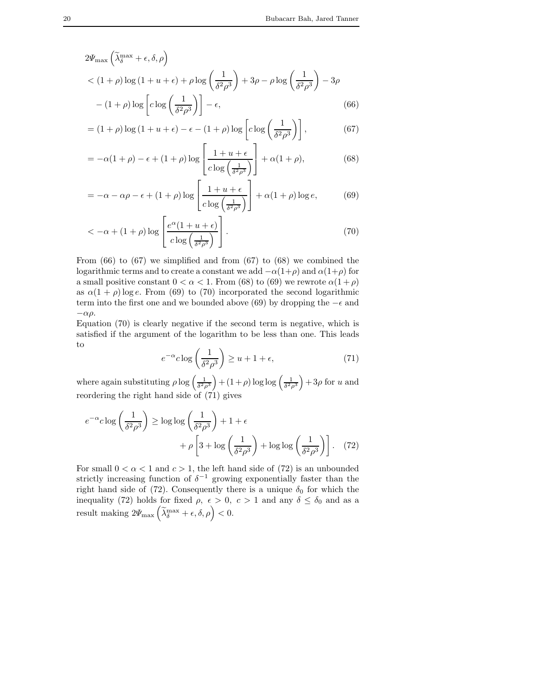$$
2\Psi_{\max}\left(\tilde{\lambda}_{\delta}^{\max} + \epsilon, \delta, \rho\right)
$$
  
< 
$$
\left(1 + \rho\right)\log\left(1 + u + \epsilon\right) + \rho\log\left(\frac{1}{\delta^2\rho^3}\right) + 3\rho - \rho\log\left(\frac{1}{\delta^2\rho^3}\right) - 3\rho
$$
  

$$
- (1 + \rho)\log\left[c\log\left(\frac{1}{\delta^2\rho^3}\right)\right] - \epsilon,
$$
 (66)

$$
= (1+\rho)\log(1+u+\epsilon) - \epsilon - (1+\rho)\log\left[c\log\left(\frac{1}{\delta^2\rho^3}\right)\right],
$$
 (67)

$$
= -\alpha(1+\rho) - \epsilon + (1+\rho)\log\left[\frac{1+u+\epsilon}{c\log\left(\frac{1}{\delta^2\rho^3}\right)}\right] + \alpha(1+\rho),\tag{68}
$$

$$
= -\alpha - \alpha \rho - \epsilon + (1 + \rho) \log \left[ \frac{1 + u + \epsilon}{c \log \left( \frac{1}{\delta^2 \rho^3} \right)} \right] + \alpha (1 + \rho) \log e, \tag{69}
$$

$$
\langle -\alpha + (1+\rho)\log\left[\frac{e^{\alpha}(1+u+\epsilon)}{c\log\left(\frac{1}{\delta^2\rho^3}\right)}\right].
$$
\n(70)

From  $(66)$  to  $(67)$  we simplified and from  $(67)$  to  $(68)$  we combined the logarithmic terms and to create a constant we add  $-\alpha(1+\rho)$  and  $\alpha(1+\rho)$  for a small positive constant  $0 < \alpha < 1$ . From (68) to (69) we rewrote  $\alpha(1+\rho)$ as  $\alpha(1+\rho)\log e$ . From (69) to (70) incorporated the second logarithmic term into the first one and we bounded above (69) by dropping the  $-\epsilon$  and  $-αρ.$ 

Equation (70) is clearly negative if the second term is negative, which is satisfied if the argument of the logarithm to be less than one. This leads to

$$
e^{-\alpha}c\log\left(\frac{1}{\delta^2\rho^3}\right) \ge u + 1 + \epsilon,\tag{71}
$$

where again substituting  $\rho \log \left( \frac{1}{\delta^2 \rho^3} \right)$  $+ (1+\rho) \log \log \left( \frac{1}{\delta^2 \rho^3} \right)$  $+ 3\rho$  for u and reordering the right hand side of (71) gives

$$
e^{-\alpha}c \log\left(\frac{1}{\delta^2 \rho^3}\right) \ge \log \log\left(\frac{1}{\delta^2 \rho^3}\right) + 1 + \epsilon
$$

$$
+ \rho \left[3 + \log\left(\frac{1}{\delta^2 \rho^3}\right) + \log \log\left(\frac{1}{\delta^2 \rho^3}\right)\right]. \quad (72)
$$

For small  $0 < \alpha < 1$  and  $c > 1$ , the left hand side of (72) is an unbounded strictly increasing function of  $\delta^{-1}$  growing exponentially faster than the right hand side of (72). Consequently there is a unique  $\delta_0$  for which the inequality (72) holds for fixed  $\rho$ ,  $\epsilon > 0$ ,  $c > 1$  and any  $\delta \le \delta_0$  and as a result making  $2\Psi_{\text{max}}\left(\widetilde{\lambda}_{\delta}^{\text{max}} + \epsilon, \delta, \rho\right) < 0.$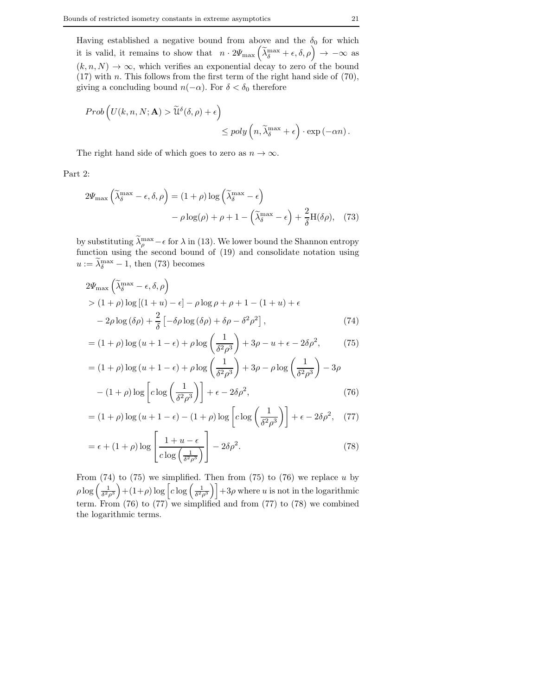Having established a negative bound from above and the  $\delta_0$  for which it is valid, it remains to show that  $n \cdot 2\Psi_{\text{max}}\left(\tilde{\lambda}_{\delta}^{\text{max}} + \epsilon, \delta, \rho\right) \to -\infty$  as  $(k, n, N) \rightarrow \infty$ , which verifies an exponential decay to zero of the bound  $(17)$  with n. This follows from the first term of the right hand side of  $(70)$ , giving a concluding bound  $n(-\alpha)$ . For  $\delta < \delta_0$  therefore

$$
Prob \left( U(k, n, N; \mathbf{A}) > \widetilde{\mathfrak{U}}^{\delta}(\delta, \rho) + \epsilon \right) \leq poly \left( n, \widetilde{\lambda}_{\delta}^{\max} + \epsilon \right) \cdot \exp \left( -\alpha n \right).
$$

The right hand side of which goes to zero as  $n \to \infty$ .

Part 2:

$$
2\Psi_{\max}\left(\tilde{\lambda}_{\delta}^{\max} - \epsilon, \delta, \rho\right) = (1 + \rho)\log\left(\tilde{\lambda}_{\delta}^{\max} - \epsilon\right)
$$

$$
- \rho\log(\rho) + \rho + 1 - \left(\tilde{\lambda}_{\delta}^{\max} - \epsilon\right) + \frac{2}{\delta}H(\delta\rho), \quad (73)
$$

by substituting  $\lambda_{\rho}^{\max} - \epsilon$  for  $\lambda$  in (13). We lower bound the Shannon entropy function using the second bound of (19) and consolidate notation using  $u := \lambda_{\delta}^{\max} - 1$ , then (73) becomes

$$
2\Psi_{\max} \left( \tilde{\lambda}_{\delta}^{\max} - \epsilon, \delta, \rho \right)
$$
  
>  $(1 + \rho) \log \left[ (1 + u) - \epsilon \right] - \rho \log \rho + \rho + 1 - (1 + u) + \epsilon$   
 $- 2\rho \log (\delta \rho) + \frac{2}{\delta} \left[ -\delta \rho \log (\delta \rho) + \delta \rho - \delta^2 \rho^2 \right],$  (74)

$$
= (1+\rho)\log(u+1-\epsilon) + \rho\log\left(\frac{1}{\delta^2\rho^3}\right) + 3\rho - u + \epsilon - 2\delta\rho^2,\tag{75}
$$

$$
= (1+\rho)\log(u+1-\epsilon) + \rho\log\left(\frac{1}{\delta^2\rho^3}\right) + 3\rho - \rho\log\left(\frac{1}{\delta^2\rho^3}\right) - 3\rho
$$

$$
- (1+\rho)\log\left[c\log\left(\frac{1}{\delta^2\rho^3}\right)\right] + \epsilon - 2\delta\rho^2,
$$
 (7)

$$
-(1+\rho)\log\left[c\log\left(\frac{1}{\delta^2\rho^3}\right)\right]+\epsilon-2\delta\rho^2,\tag{76}
$$

$$
= (1+\rho)\log(u+1-\epsilon) - (1+\rho)\log\left[c\log\left(\frac{1}{\delta^2\rho^3}\right)\right] + \epsilon - 2\delta\rho^2, \quad (77)
$$

$$
= \epsilon + (1+\rho)\log\left[\frac{1+u-\epsilon}{c\log\left(\frac{1}{\delta^2\rho^3}\right)}\right] - 2\delta\rho^2.
$$
 (78)

From  $(74)$  to  $(75)$  we simplified. Then from  $(75)$  to  $(76)$  we replace u by  $\rho \log \left( \frac{1}{\delta^2 \rho^3} \right)$  $\left(1+\rho\right)\log\left[c\log\left(\frac{1}{\delta^2\rho^3}\right)\right]+3\rho$  where u is not in the logarithmic term. From (76) to (77) we simplified and from (77) to (78) we combined the logarithmic terms.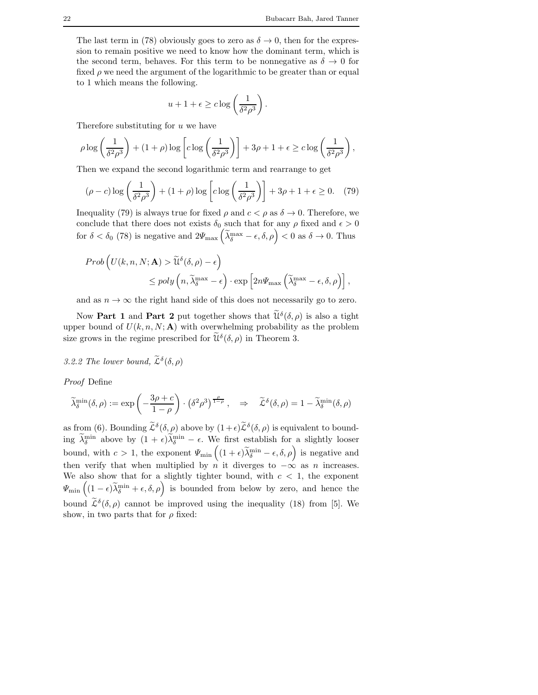The last term in (78) obviously goes to zero as  $\delta \to 0$ , then for the expression to remain positive we need to know how the dominant term, which is the second term, behaves. For this term to be nonnegative as  $\delta \to 0$  for fixed  $\rho$  we need the argument of the logarithmic to be greater than or equal to 1 which means the following.

$$
u + 1 + \epsilon \geq c \log \left( \frac{1}{\delta^2 \rho^3} \right).
$$

Therefore substituting for  $u$  we have

$$
\rho \log \left( \frac{1}{\delta^2 \rho^3} \right) + (1 + \rho) \log \left[ c \log \left( \frac{1}{\delta^2 \rho^3} \right) \right] + 3\rho + 1 + \epsilon \geq c \log \left( \frac{1}{\delta^2 \rho^3} \right),
$$

Then we expand the second logarithmic term and rearrange to get

$$
(\rho - c)\log\left(\frac{1}{\delta^2 \rho^3}\right) + (1 + \rho)\log\left[c\log\left(\frac{1}{\delta^2 \rho^3}\right)\right] + 3\rho + 1 + \epsilon \ge 0. \tag{79}
$$

Inequality (79) is always true for fixed  $\rho$  and  $c < \rho$  as  $\delta \to 0$ . Therefore, we conclude that there does not exists  $\delta_0$  such that for any  $\rho$  fixed and  $\epsilon > 0$ for  $\delta < \delta_0$  (78) is negative and  $2\Psi_{\text{max}}\left(\tilde{\lambda}_{\delta}^{\text{max}} - \epsilon, \delta, \rho\right) < 0$  as  $\delta \to 0$ . Thus

$$
Prob \left( U(k, n, N; \mathbf{A}) > \widetilde{\mathbf{u}}^{\delta}(\delta, \rho) - \epsilon \right) \leq poly \left( n, \widetilde{\lambda}_{\delta}^{\max} - \epsilon \right) \cdot \exp \left[ 2n \Psi_{\max} \left( \widetilde{\lambda}_{\delta}^{\max} - \epsilon, \delta, \rho \right) \right],
$$

and as  $n \to \infty$  the right hand side of this does not necessarily go to zero.

Now **Part 1** and **Part 2** put together shows that  $\widetilde{\mathcal{U}}^{\delta}(\delta,\rho)$  is also a tight upper bound of  $U(k, n, N; A)$  with overwhelming probability as the problem size grows in the regime prescribed for  $\widetilde{\mathcal{U}}^{\delta}(\delta, \rho)$  in Theorem 3.

# 3.2.2 The lower bound,  $\widetilde{\mathcal{L}}^{\delta}(\delta, \rho)$

*Proof* Define

$$
\widetilde{\lambda}_{\delta}^{\min}(\delta,\rho) := \exp\left(-\frac{3\rho + c}{1-\rho}\right) \cdot \left(\delta^2 \rho^3\right)^{\frac{\rho}{1-\rho}}, \quad \Rightarrow \quad \widetilde{\mathcal{L}}^{\delta}(\delta,\rho) = 1 - \widetilde{\lambda}_{\delta}^{\min}(\delta,\rho)
$$

as from (6). Bounding  $\tilde{\mathcal{L}}^{\delta}(\delta,\rho)$  above by  $(1+\epsilon)\tilde{\mathcal{L}}^{\delta}(\delta,\rho)$  is equivalent to bounding  $\lambda_{\delta}^{\min}$  above by  $(1+\epsilon)\lambda_{\delta}^{\min} - \epsilon$ . We first establish for a slightly looser bound, with  $c > 1$ , the exponent  $\Psi_{\min} \left( (1 + \epsilon) \widetilde{\lambda}_{\delta}^{\min} - \epsilon, \delta, \rho \right)$  is negative and then verify that when multiplied by n it diverges to  $-\infty$  as n increases. We also show that for a slightly tighter bound, with  $c < 1$ , the exponent  $\Psi_{\min}$   $((1 - \epsilon)\widetilde{\lambda}_{\delta}^{\min} + \epsilon, \delta, \rho)$  is bounded from below by zero, and hence the bound  $\tilde{\mathcal{L}}^{\delta}(\delta, \rho)$  cannot be improved using the inequality (18) from [5]. We show, in two parts that for  $\rho$  fixed: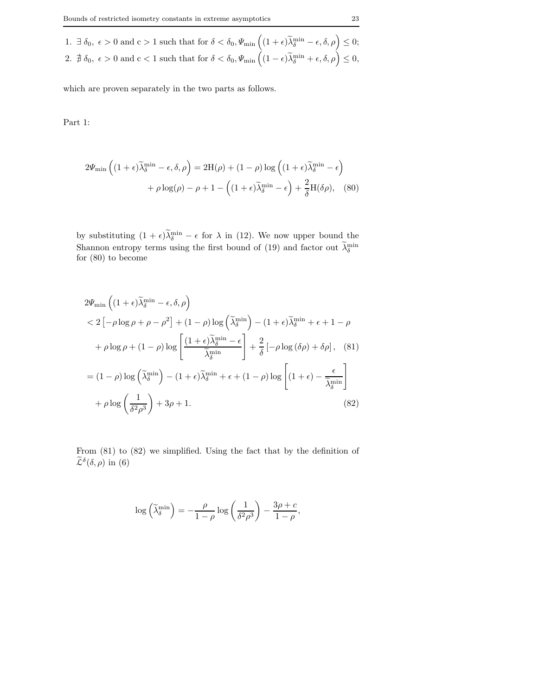1.  $\exists \delta_0, \epsilon > 0 \text{ and } c > 1 \text{ such that for } \delta < \delta_0, \Psi_{\min}\left( (1+\epsilon)\widetilde{\lambda}_\delta^{\min} - \epsilon, \delta, \rho \right) \leq 0;$ 2.  $\sharp \delta_0, \epsilon > 0$  and  $c < 1$  such that for  $\delta < \delta_0, \Psi_{\min} \left( (1 - \epsilon) \widetilde{\lambda}_\delta^{\min} + \epsilon, \delta, \rho \right) \leq 0$ ,

which are proven separately in the two parts as follows.

Part 1:

$$
2\Psi_{\min}\left((1+\epsilon)\widetilde{\lambda}_{\delta}^{\min}-\epsilon,\delta,\rho\right) = 2H(\rho) + (1-\rho)\log\left((1+\epsilon)\widetilde{\lambda}_{\delta}^{\min}-\epsilon\right) + \rho\log(\rho) - \rho + 1 - \left((1+\epsilon)\widetilde{\lambda}_{\delta}^{\min}-\epsilon\right) + \frac{2}{\delta}H(\delta\rho),\quad(80)
$$

by substituting  $(1 + \epsilon)\lambda_{\delta}^{\min} - \epsilon$  for  $\lambda$  in (12). We now upper bound the Shannon entropy terms using the first bound of (19) and factor out  $\lambda_{\delta}^{\min}$ for (80) to become

$$
2\Psi_{\min}\left((1+\epsilon)\tilde{\lambda}_{\delta}^{\min} - \epsilon, \delta, \rho\right)
$$
  

$$
< 2\left[-\rho \log \rho + \rho - \rho^{2}\right] + (1-\rho) \log\left(\tilde{\lambda}_{\delta}^{\min}\right) - (1+\epsilon)\tilde{\lambda}_{\delta}^{\min} + \epsilon + 1 - \rho
$$
  

$$
+ \rho \log \rho + (1-\rho) \log\left[\frac{(1+\epsilon)\tilde{\lambda}_{\delta}^{\min} - \epsilon}{\tilde{\lambda}_{\delta}^{\min}}\right] + \frac{2}{\delta}\left[-\rho \log\left(\delta\rho\right) + \delta\rho\right], \quad (81)
$$
  

$$
= (1-\rho) \log\left(\tilde{\lambda}_{\delta}^{\min}\right) - (1+\epsilon)\tilde{\lambda}_{\delta}^{\min} + \epsilon + (1-\rho) \log\left[(1+\epsilon) - \frac{\epsilon}{\tilde{\lambda}_{\delta}^{\min}}\right]
$$
  

$$
+ \rho \log\left(\frac{1}{\delta^{2}\rho^{3}}\right) + 3\rho + 1. \quad (82)
$$

From (81) to (82) we simplified. Using the fact that by the definition of  $\widetilde{\mathcal{L}}^{\delta}(\delta, \rho)$  in (6)

$$
\log\left(\widetilde{\lambda}_{\delta}^{\min}\right) = -\frac{\rho}{1-\rho}\log\left(\frac{1}{\delta^2\rho^3}\right) - \frac{3\rho + c}{1-\rho},
$$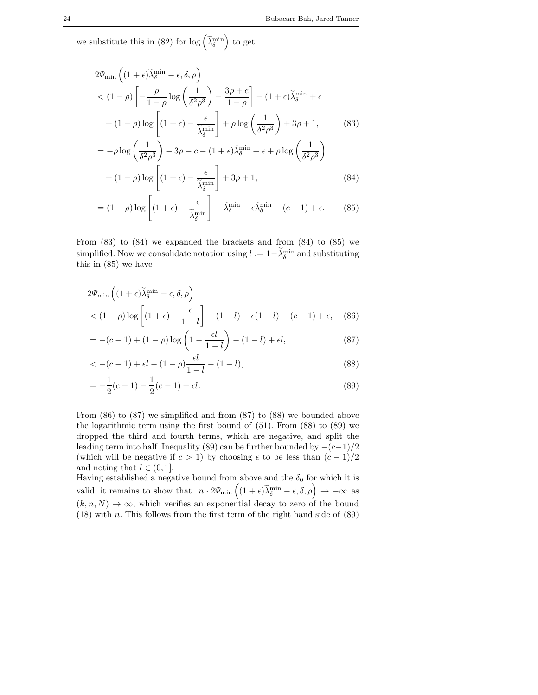we substitute this in (82) for  $\log\left(\widetilde{\lambda}_{\delta}^{\min}\right)$  to get

$$
2\Psi_{\min}\left((1+\epsilon)\widetilde{\lambda}_{\delta}^{\min} - \epsilon, \delta, \rho\right)
$$
  
< 
$$
< (1-\rho)\left[-\frac{\rho}{1-\rho}\log\left(\frac{1}{\delta^2\rho^3}\right) - \frac{3\rho + c}{1-\rho}\right] - (1+\epsilon)\widetilde{\lambda}_{\delta}^{\min} + \epsilon
$$
  

$$
+ (1-\rho)\log\left[(1+\epsilon) - \frac{\epsilon}{\widetilde{\lambda}_{\delta}^{\min}}\right] + \rho\log\left(\frac{1}{\delta^2\rho^3}\right) + 3\rho + 1,
$$
 (83)

$$
= -\rho \log \left( \frac{1}{\delta^2 \rho^3} \right) - 3\rho - c - (1 + \epsilon) \tilde{\lambda}_{\delta}^{\min} + \epsilon + \rho \log \left( \frac{1}{\delta^2 \rho^3} \right)
$$

$$
+ (1 - \rho) \log \left[ (1 + \epsilon) - \frac{\epsilon}{\tilde{\lambda}_{\delta}^{\min}} \right] + 3\rho + 1,
$$
(84)

$$
= (1 - \rho) \log \left[ (1 + \epsilon) - \frac{\epsilon}{\widetilde{\lambda}_{\delta}^{\min}} \right] - \widetilde{\lambda}_{\delta}^{\min} - \epsilon \widetilde{\lambda}_{\delta}^{\min} - (c - 1) + \epsilon. \tag{85}
$$

From (83) to (84) we expanded the brackets and from (84) to (85) we simplified. Now we consolidate notation using  $l := 1 - \lambda_{\delta}^{\min}$  and substituting this in (85) we have

$$
2\Psi_{\min}\left((1+\epsilon)\widetilde{\lambda}_{\delta}^{\min} - \epsilon, \delta, \rho\right)
$$
  
< 
$$
\left((1-\rho)\log\left[(1+\epsilon) - \frac{\epsilon}{1-l}\right] - (1-l) - \epsilon(1-l) - (c-1) + \epsilon,\right)
$$
 (86)

$$
= -(c-1) + (1 - \rho) \log \left( 1 - \frac{\epsilon l}{1 - l} \right) - (1 - l) + \epsilon l,
$$
\n(87)

$$
\langle -(c-1) + \epsilon l - (1-\rho) \frac{\epsilon l}{1-l} - (1-l), \tag{88}
$$

$$
= -\frac{1}{2}(c-1) - \frac{1}{2}(c-1) + \epsilon l.
$$
\n(89)

From (86) to (87) we simplified and from (87) to (88) we bounded above the logarithmic term using the first bound of (51). From (88) to (89) we dropped the third and fourth terms, which are negative, and split the leading term into half. Inequality (89) can be further bounded by  $-(c-1)/2$ (which will be negative if  $c > 1$ ) by choosing  $\epsilon$  to be less than  $(c - 1)/2$ and noting that  $l \in (0, 1]$ .

Having established a negative bound from above and the  $\delta_0$  for which it is valid, it remains to show that  $n \cdot 2\Psi_{\min} \left( (1+\epsilon)\widetilde{\lambda}_{\delta}^{\min} - \epsilon, \delta, \rho \right) \to -\infty$  as  $(k, n, N) \rightarrow \infty$ , which verifies an exponential decay to zero of the bound  $(18)$  with n. This follows from the first term of the right hand side of  $(89)$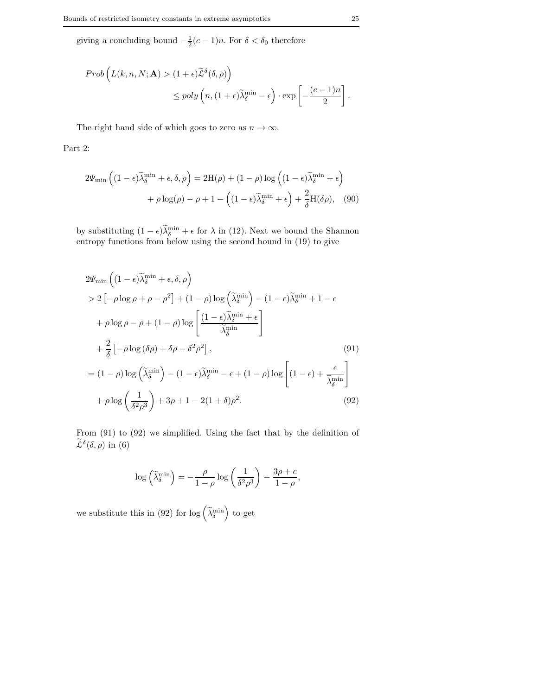giving a concluding bound  $-\frac{1}{2}(c-1)n$ . For  $\delta < \delta_0$  therefore

$$
Prob\left(L(k, n, N; \mathbf{A}) > (1 + \epsilon)\widetilde{\mathcal{L}}^{\delta}(\delta, \rho)\right)
$$
  

$$
\leq poly\left(n, (1 + \epsilon)\widetilde{\lambda}_{\delta}^{\min} - \epsilon\right) \cdot \exp\left[-\frac{(c - 1)n}{2}\right].
$$

The right hand side of which goes to zero as  $n \to \infty$ .

Part 2:

$$
2\Psi_{\min}\left((1-\epsilon)\widetilde{\lambda}_{\delta}^{\min}+\epsilon,\delta,\rho\right) = 2H(\rho) + (1-\rho)\log\left((1-\epsilon)\widetilde{\lambda}_{\delta}^{\min}+\epsilon\right) + \rho\log(\rho) - \rho + 1 - \left((1-\epsilon)\widetilde{\lambda}_{\delta}^{\min}+\epsilon\right) + \frac{2}{\delta}H(\delta\rho),\tag{90}
$$

by substituting  $(1 - \epsilon)\tilde{\lambda}_{\delta}^{\min} + \epsilon$  for  $\lambda$  in (12). Next we bound the Shannon entropy functions from below using the second bound in (19) to give

$$
2\Psi_{\min}\left((1-\epsilon)\widetilde{\lambda}_{\delta}^{\min}+\epsilon,\delta,\rho\right)
$$
  
> 2\left[-\rho\log\rho+\rho-\rho^{2}\right]+(1-\rho)\log\left(\widetilde{\lambda}\_{\delta}^{\min}\right)-(1-\epsilon)\widetilde{\lambda}\_{\delta}^{\min}+1-\epsilon  
+\rho\log\rho-\rho+(1-\rho)\log\left[\frac{(1-\epsilon)\widetilde{\lambda}\_{\delta}^{\min}+\epsilon}{\widetilde{\lambda}\_{\delta}^{\min}}\right]  
+\frac{2}{\delta}\left[-\rho\log\left(\delta\rho\right)+\delta\rho-\delta^{2}\rho^{2}\right],\qquad(91)  
=(1-\rho)\log\left(\widetilde{\lambda}\_{\delta}^{\min}\right)-(1-\epsilon)\widetilde{\lambda}\_{\delta}^{\min}-\epsilon+(1-\rho)\log\left[(1-\epsilon)+\frac{\epsilon}{\widetilde{\lambda}\_{\delta}^{\min}}\right]  
+\rho\log\left(\frac{1}{\delta^{2}\rho^{3}}\right)+3\rho+1-2(1+\delta)\rho^{2}.\qquad(92)

From (91) to (92) we simplified. Using the fact that by the definition of  $\widetilde{\mathcal{L}}^{\delta}(\delta, \rho)$  in (6)

$$
\log\left(\widetilde{\lambda}_\delta^{\min}\right) = -\frac{\rho}{1-\rho}\log\left(\frac{1}{\delta^2\rho^3}\right) - \frac{3\rho + c}{1-\rho},
$$

we substitute this in (92) for  $\log\left(\widetilde{\lambda}_{\delta}^{\min}\right)$  to get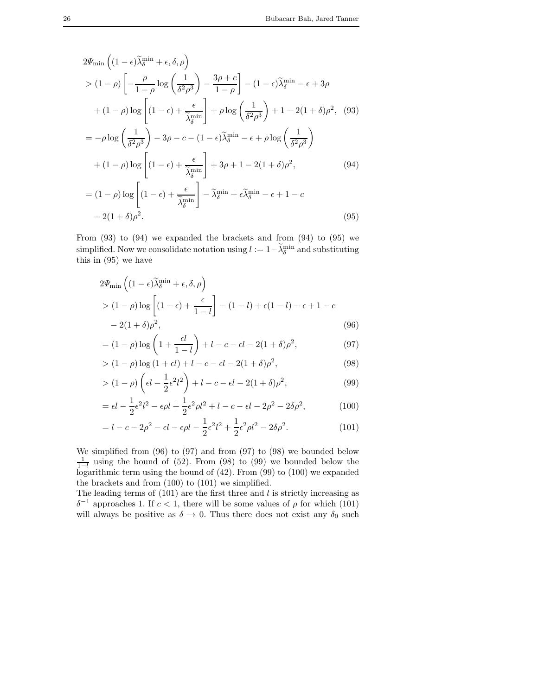$$
2\Psi_{\min}\left((1-\epsilon)\tilde{\lambda}_{\delta}^{\min}+\epsilon,\delta,\rho\right)
$$
  
>  $(1-\rho)\left[-\frac{\rho}{1-\rho}\log\left(\frac{1}{\delta^2\rho^3}\right)-\frac{3\rho+c}{1-\rho}\right]-(1-\epsilon)\tilde{\lambda}_{\delta}^{\min}-\epsilon+3\rho$   
+  $(1-\rho)\log\left[(1-\epsilon)+\frac{\epsilon}{\tilde{\lambda}_{\delta}^{\min}}\right]+\rho\log\left(\frac{1}{\delta^2\rho^3}\right)+1-2(1+\delta)\rho^2$ , (93)  
=  $-\rho\log\left(\frac{1}{\delta^2\rho^3}\right)-3\rho-c-(1-\epsilon)\tilde{\lambda}_{\delta}^{\min}-\epsilon+\rho\log\left(\frac{1}{\delta^2\rho^3}\right)$   
+  $(1-\rho)\log\left[(1-\epsilon)+\frac{\epsilon}{\tilde{\lambda}_{\delta}^{\min}}\right]+3\rho+1-2(1+\delta)\rho^2$ , (94)  
=  $(1-\rho)\log\left[(1-\epsilon)+\frac{\epsilon}{\tilde{\lambda}_{\delta}^{\min}}\right]-\tilde{\lambda}_{\delta}^{\min}+\epsilon\tilde{\lambda}_{\delta}^{\min}-\epsilon+1-c$   
-  $2(1+\delta)\rho^2$ . (95)

From  $(93)$  to  $(94)$  we expanded the brackets and from  $(94)$  to  $(95)$  we simplified. Now we consolidate notation using  $l := 1 - \lambda_{\delta}^{\min}$  and substituting this in (95) we have

$$
2\Psi_{\min}\left((1-\epsilon)\widetilde{\lambda}_{\delta}^{\min}+\epsilon,\delta,\rho\right)
$$
  
>  $(1-\rho)\log\left[(1-\epsilon)+\frac{\epsilon}{1-l}\right]-(1-l)+\epsilon(1-l)-\epsilon+1-c$   
 $-2(1+\delta)\rho^2,$  (96)

$$
= (1 - \rho) \log \left( 1 + \frac{\epsilon l}{1 - l} \right) + l - c - \epsilon l - 2(1 + \delta)\rho^2, \tag{97}
$$

$$
> (1 - \rho) \log (1 + \epsilon l) + l - c - \epsilon l - 2(1 + \delta)\rho^2,\tag{98}
$$

$$
> (1-\rho)\left(\epsilon l - \frac{1}{2}\epsilon^2 l^2\right) + l - c - \epsilon l - 2(1+\delta)\rho^2,\tag{99}
$$

$$
= \epsilon l - \frac{1}{2} \epsilon^2 l^2 - \epsilon \rho l + \frac{1}{2} \epsilon^2 \rho l^2 + l - c - \epsilon l - 2\rho^2 - 2\delta \rho^2, \tag{100}
$$

$$
= l - c - 2\rho^2 - \epsilon l - \epsilon \rho l - \frac{1}{2}\epsilon^2 l^2 + \frac{1}{2}\epsilon^2 \rho l^2 - 2\delta \rho^2.
$$
 (101)

We simplified from (96) to (97) and from (97) to (98) we bounded below  $\frac{1}{1-l}$  using the bound of (52). From (98) to (99) we bounded below the logarithmic term using the bound of (42). From (99) to (100) we expanded the brackets and from (100) to (101) we simplified.

The leading terms of  $(101)$  are the first three and l is strictly increasing as  $\delta^{-1}$  approaches 1. If  $c < 1$ , there will be some values of  $\rho$  for which (101) will always be positive as  $\delta \to 0$ . Thus there does not exist any  $\delta_0$  such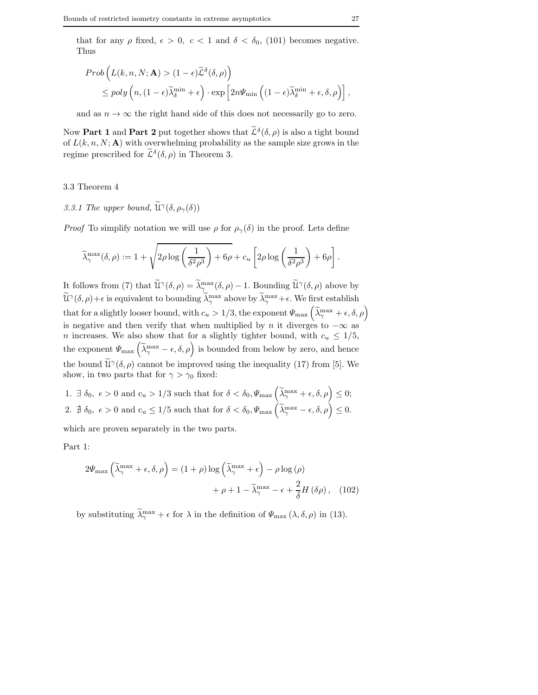that for any  $\rho$  fixed,  $\epsilon > 0$ ,  $c < 1$  and  $\delta < \delta_0$ , (101) becomes negative. Thus

$$
Prob\left(L(k, n, N; \mathbf{A}) > (1 - \epsilon)\widetilde{\mathcal{L}}^{\delta}(\delta, \rho)\right)
$$
  
\$\leq\$ poly  $\left(n, (1 - \epsilon)\widetilde{\lambda}_{\delta}^{\min} + \epsilon\right) \cdot \exp\left[2n\Psi_{\min}\left((1 - \epsilon)\widetilde{\lambda}_{\delta}^{\min} + \epsilon, \delta, \rho\right)\right],$$ 

and as  $n \to \infty$  the right hand side of this does not necessarily go to zero.

Now **Part 1** and **Part 2** put together shows that  $\tilde{\mathcal{L}}^{\delta}(\delta, \rho)$  is also a tight bound of  $L(k, n, N; A)$  with overwhelming probability as the sample size grows in the regime prescribed for  $\tilde{\mathcal{L}}^{\delta}(\delta, \rho)$  in Theorem 3.

### 3.3 Theorem 4

3.3.1 The upper bound,  $\widetilde{\mathfrak{U}}^{\gamma}(\delta, \rho_{\gamma}(\delta))$ 

*Proof* To simplify notation we will use  $\rho$  for  $\rho_{\gamma}(\delta)$  in the proof. Lets define

$$
\widetilde{\lambda}_{\gamma}^{\max}(\delta,\rho) := 1 + \sqrt{2\rho \log \left(\frac{1}{\delta^2 \rho^3}\right) + 6\rho} + c_u \left[2\rho \log \left(\frac{1}{\delta^2 \rho^3}\right) + 6\rho\right].
$$

It follows from (7) that  $\widetilde{\mathfrak{U}}^{\gamma}(\delta,\rho) = \widetilde{\lambda}_{\gamma_{\alpha}}^{\max}(\delta,\rho) - 1$ . Bounding  $\widetilde{\mathfrak{U}}^{\gamma}(\delta,\rho)$  above by  $\widetilde{\mathfrak{U}}^{\gamma}(\delta,\rho)+\epsilon$  is equivalent to bounding  $\widetilde{\lambda}_{\gamma}^{\max}$  above by  $\widetilde{\lambda}_{\gamma}^{\max}+\epsilon$ . We first establish that for a slightly looser bound, with  $c_u > 1/3$ , the exponent  $\varPsi_{\text{max}}\left(\widetilde{\lambda}_{\gamma}^{\text{max}} + \epsilon, \delta, \rho\right)$ is negative and then verify that when multiplied by n it diverges to  $-\infty$  as *n* increases. We also show that for a slightly tighter bound, with  $c_u \leq 1/5$ , the exponent  $\Psi_{\text{max}}\left(\tilde{\lambda}_{\gamma}^{\text{max}}-\epsilon,\delta,\rho\right)$  is bounded from below by zero, and hence the bound  $\widetilde{\mathfrak{U}}^{\gamma}(\delta,\rho)$  cannot be improved using the inequality (17) from [5]. We show, in two parts that for  $\gamma > \gamma_0$  fixed:

1.  $\exists \delta_0, \epsilon > 0 \text{ and } c_u > 1/3 \text{ such that for } \delta < \delta_0, \Psi_{\text{max}}\left(\widetilde{\lambda}_{\gamma}^{\text{max}} + \epsilon, \delta, \rho\right) \leq 0;$ 2.  $\sharp \delta_0, \epsilon > 0$  and  $c_u \leq 1/5$  such that for  $\delta < \delta_0, \Psi_{\text{max}}(\widetilde{\lambda}_{\gamma}^{\text{max}} - \epsilon, \delta, \rho) \leq 0$ .

which are proven separately in the two parts.

Part 1:

$$
2\Psi_{\max}\left(\tilde{\lambda}_{\gamma}^{\max} + \epsilon, \delta, \rho\right) = (1 + \rho)\log\left(\tilde{\lambda}_{\gamma}^{\max} + \epsilon\right) - \rho\log\left(\rho\right) + \rho + 1 - \tilde{\lambda}_{\gamma}^{\max} - \epsilon + \frac{2}{\delta}H\left(\delta\rho\right), \quad (102)
$$

by substituting  $\lambda_{\gamma}^{\max} + \epsilon$  for  $\lambda$  in the definition of  $\Psi_{\max}(\lambda, \delta, \rho)$  in (13).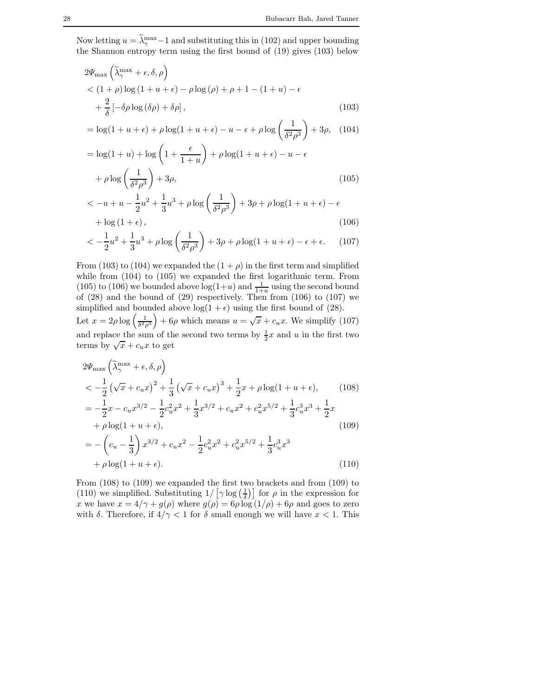Now letting  $u = \tilde{\lambda}_{\gamma}^{\max} - 1$  and substituting this in (102) and upper bounding the Shannon entropy term using the first bound of (19) gives (103) below

$$
2\Psi_{\max}\left(\tilde{\lambda}_{\gamma}^{\max} + \epsilon, \delta, \rho\right)
$$
  
< 
$$
< (1 + \rho)\log(1 + u + \epsilon) - \rho\log(\rho) + \rho + 1 - (1 + u) - \epsilon
$$
  

$$
+ \frac{2}{\delta}\left[-\delta\rho\log(\delta\rho) + \delta\rho\right],
$$
 (103)

$$
= \log(1+u+\epsilon) + \rho \log(1+u+\epsilon) - u - \epsilon + \rho \log\left(\frac{1}{\delta^2 \rho^3}\right) + 3\rho, \quad (104)
$$

$$
= \log(1+u) + \log\left(1+\frac{\epsilon}{1+u}\right) + \rho\log(1+u+\epsilon) - u - \epsilon
$$

$$
+ \rho\log\left(\frac{1}{\delta^2\rho^3}\right) + 3\rho,
$$
(105)

$$
\langle -u + u - \frac{1}{2}u^2 + \frac{1}{3}u^3 + \rho \log\left(\frac{1}{\delta^2 \rho^3}\right) + 3\rho + \rho \log(1 + u + \epsilon) - \epsilon
$$
  
+ log (1 +  $\epsilon$ ), (106)

$$
\langle -\frac{1}{2}u^2 + \frac{1}{3}u^3 + \rho \log\left(\frac{1}{\delta^2 \rho^3}\right) + 3\rho + \rho \log(1 + u + \epsilon) - \epsilon + \epsilon. \tag{107}
$$

From (103) to (104) we expanded the  $(1 + \rho)$  in the first term and simplified while from (104) to (105) we expanded the first logarithmic term. From (105) to (106) we bounded above  $log(1+u)$  and  $\frac{1}{1+u}$  using the second bound of (28) and the bound of (29) respectively. Then from (106) to (107) we simplified and bounded above  $log(1 + \epsilon)$  using the first bound of (28).  $+ 6\rho$  which means  $u = \sqrt{x} + c_u x$ . We simplify (107)

Let  $x = 2\rho \log \left( \frac{1}{\delta^2 \rho^3} \right)$ and replace the sum of the second two terms by  $\frac{1}{2}x$  and u in the first two terms by  $\sqrt{x} + c_u x$  to get

$$
2\Psi_{\max} \left( \tilde{\lambda}_{\gamma}^{\max} + \epsilon, \delta, \rho \right)
$$
  
\n
$$
< -\frac{1}{2} \left( \sqrt{x} + c_u x \right)^2 + \frac{1}{3} \left( \sqrt{x} + c_u x \right)^3 + \frac{1}{2} x + \rho \log(1 + u + \epsilon), \qquad (108)
$$
  
\n
$$
= -\frac{1}{2} x - c_u x^{3/2} - \frac{1}{2} c_u^2 x^2 + \frac{1}{3} x^{3/2} + c_u x^2 + c_u^2 x^{5/2} + \frac{1}{3} c_u^3 x^3 + \frac{1}{2} x
$$
  
\n
$$
+ \rho \log(1 + u + \epsilon), \qquad (109)
$$
  
\n
$$
= -\left( c_u - \frac{1}{3} \right) x^{3/2} + c_u x^2 - \frac{1}{2} c_u^2 x^2 + c_u^2 x^{5/2} + \frac{1}{3} c_u^3 x^3
$$
  
\n
$$
+ \rho \log(1 + u + \epsilon).
$$
  
\n(110)

From (108) to (109) we expanded the first two brackets and from (109) to (110) we simplified. Substituting  $1/\left[\gamma \log\left(\frac{1}{\delta}\right)\right]$  for  $\rho$  in the expression for x we have  $x = 4/\gamma + g(\rho)$  where  $g(\rho) = 6\rho \log(1/\rho) + 6\rho$  and goes to zero with  $\delta$ . Therefore, if  $4/\gamma < 1$  for  $\delta$  small enough we will have  $x < 1$ . This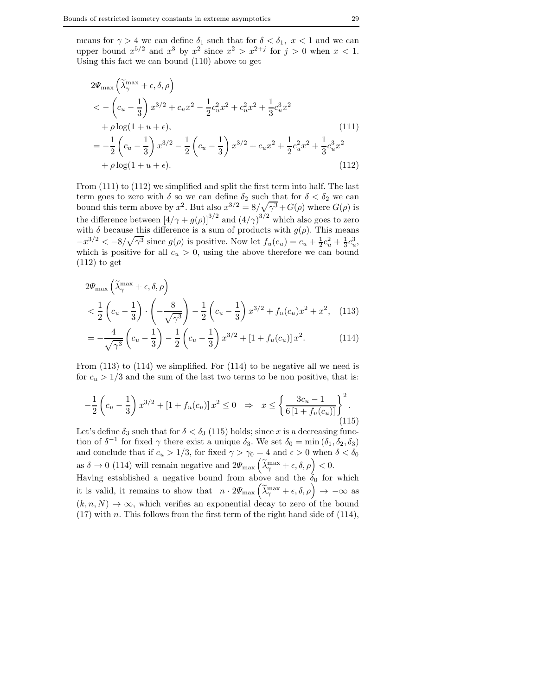means for  $\gamma > 4$  we can define  $\delta_1$  such that for  $\delta < \delta_1$ ,  $x < 1$  and we can upper bound  $x^{5/2}$  and  $x^3$  by  $x^2$  since  $x^2 > x^{2+j}$  for  $j > 0$  when  $x < 1$ . Using this fact we can bound (110) above to get

$$
2\Psi_{\max} \left( \tilde{\lambda}_{\gamma}^{\max} + \epsilon, \delta, \rho \right)
$$
  

$$
< -\left( c_u - \frac{1}{3} \right) x^{3/2} + c_u x^2 - \frac{1}{2} c_u^2 x^2 + c_u^2 x^2 + \frac{1}{3} c_u^3 x^2
$$
  

$$
+ \rho \log(1 + u + \epsilon),
$$
  

$$
= -\frac{1}{2} \left( c_u - \frac{1}{3} \right) x^{3/2} - \frac{1}{2} \left( c_u - \frac{1}{3} \right) x^{3/2} + c_u x^2 + \frac{1}{2} c_u^2 x^2 + \frac{1}{3} c_u^3 x^2
$$
  

$$
+ \rho \log(1 + u + \epsilon).
$$
 (112)

From (111) to (112) we simplified and split the first term into half. The last term goes to zero with  $\delta$  so we can define  $\delta_2$  such that for  $\delta < \delta_2$  we can bound this term above by  $x^2$ . But also  $x^{3/2} = 8/\sqrt{2} + G(\rho)$  where  $G(\rho)$  is the difference between  $\left[4/\gamma + g(\rho)\right]^{3/2}$  and  $\left(4/\gamma\right)^{3/2}$  which also goes to zero with  $\delta$  because this difference is a sum of products with  $g(\rho)$ . This means  $-x^{3/2} < -8/\sqrt{\gamma^3}$  since  $g(\rho)$  is positive. Now let  $f_u(c_u) = c_u + \frac{1}{2}c_u^2 + \frac{1}{3}c_u^3$ , which is positive for all  $c_u > 0$ , using the above therefore we can bound  $(112)$  to get

$$
2\Psi_{\max}\left(\tilde{\lambda}_{\gamma}^{\max} + \epsilon, \delta, \rho\right)
$$
  

$$
< \frac{1}{2}\left(c_u - \frac{1}{3}\right) \cdot \left(-\frac{8}{\sqrt{\gamma^3}}\right) - \frac{1}{2}\left(c_u - \frac{1}{3}\right)x^{3/2} + f_u(c_u)x^2 + x^2, \quad (113)
$$
  

$$
= -\frac{4}{\sqrt{\gamma^3}}\left(c_u - \frac{1}{3}\right) - \frac{1}{2}\left(c_u - \frac{1}{3}\right)x^{3/2} + \left[1 + f_u(c_u)\right]x^2. \quad (114)
$$

From (113) to (114) we simplified. For (114) to be negative all we need is for  $c_u > 1/3$  and the sum of the last two terms to be non positive, that is:

$$
-\frac{1}{2}\left(c_u - \frac{1}{3}\right)x^{3/2} + \left[1 + f_u(c_u)\right]x^2 \le 0 \quad \Rightarrow \quad x \le \left\{\frac{3c_u - 1}{6\left[1 + f_u(c_u)\right]}\right\}^2.
$$
\n(115)

Let's define  $\delta_3$  such that for  $\delta < \delta_3$  (115) holds; since x is a decreasing function of  $\delta^{-1}$  for fixed  $\gamma$  there exist a unique  $\delta_3$ . We set  $\delta_0 = \min(\delta_1, \delta_2, \delta_3)$ and conclude that if  $c_u > 1/3$ , for fixed  $\gamma > \gamma_0 = 4$  and  $\epsilon > 0$  when  $\delta < \delta_0$ as  $\delta \to 0$  (114) will remain negative and  $2\Psi_{\text{max}}\left(\tilde{\lambda}_{\gamma}^{\text{max}} + \epsilon, \delta, \rho\right) < 0$ . Having established a negative bound from above and the  $\delta_0$  for which it is valid, it remains to show that  $n \cdot 2\Psi_{\max}(\widetilde{\lambda}_{\gamma}^{\max} + \epsilon, \delta, \rho) \rightarrow -\infty$  as  $(k, n, N) \rightarrow \infty$ , which verifies an exponential decay to zero of the bound  $(17)$  with n. This follows from the first term of the right hand side of  $(114)$ ,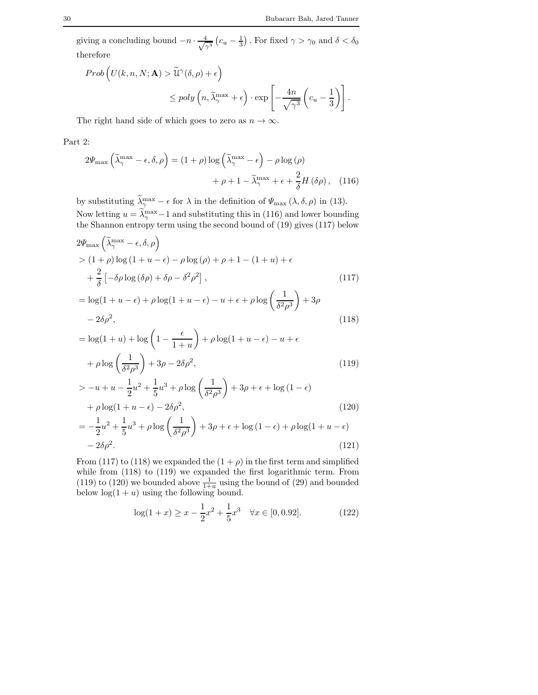giving a concluding bound  $-n \cdot \frac{4}{\sqrt{2}}$  $\frac{4}{\gamma^3}$   $(c_u - \frac{1}{3})$ . For fixed  $\gamma > \gamma_0$  and  $\delta < \delta_0$ therefore

$$
Prob\left(U(k, n, N; \mathbf{A}) > \widetilde{\mathcal{U}}^{\gamma}(\delta, \rho) + \epsilon\right)
$$
  

$$
\leq poly\left(n, \widetilde{\lambda}_{\gamma}^{\max} + \epsilon\right) \cdot exp\left[-\frac{4n}{\sqrt{\gamma^{3}}} \left(c_{u} - \frac{1}{3}\right)\right].
$$

The right hand side of which goes to zero as  $n \to \infty$ .

Part 2:

$$
2\Psi_{\max}\left(\tilde{\lambda}_{\gamma}^{\max} - \epsilon, \delta, \rho\right) = (1 + \rho)\log\left(\tilde{\lambda}_{\gamma}^{\max} - \epsilon\right) - \rho\log\left(\rho\right) + \rho + 1 - \tilde{\lambda}_{\gamma}^{\max} + \epsilon + \frac{2}{\delta}H\left(\delta\rho\right), \quad (116)
$$

by substituting  $\lambda_{\gamma}^{\max} - \epsilon$  for  $\lambda$  in the definition of  $\Psi_{\max} (\lambda, \delta, \rho)$  in (13). Now letting  $u = \lambda_{\gamma}^{\max} - 1$  and substituting this in (116) and lower bounding the Shannon entropy term using the second bound of (19) gives (117) below

$$
2\Psi_{\max}\left(\tilde{\lambda}_{\gamma}^{\max} - \epsilon, \delta, \rho\right)
$$
  
>  $(1 + \rho)\log(1 + u - \epsilon) - \rho\log(\rho) + \rho + 1 - (1 + u) + \epsilon$   
+  $\frac{2}{\delta}\left[-\delta\rho\log(\delta\rho) + \delta\rho - \delta^2\rho^2\right],$  (117)

$$
= \log(1 + u - \epsilon) + \rho \log(1 + u - \epsilon) - u + \epsilon + \rho \log\left(\frac{1}{\delta^2 \rho^3}\right) + 3\rho
$$

$$
-2\delta \rho^2,
$$
(118)

$$
= \log(1+u) + \log\left(1 - \frac{\epsilon}{1+u}\right) + \rho\log(1+u-\epsilon) - u + \epsilon
$$

$$
+ \rho\log\left(\frac{1}{\delta^2\rho^3}\right) + 3\rho - 2\delta\rho^2,\tag{119}
$$

$$
> -u + u - \frac{1}{2}u^2 + \frac{1}{5}u^3 + \rho \log\left(\frac{1}{\delta^2 \rho^3}\right) + 3\rho + \epsilon + \log(1 - \epsilon)
$$
  
+ 
$$
\rho \log(1 + u - \epsilon) - 2\delta \rho^2,
$$
  
= 
$$
-\frac{1}{2}u^2 + \frac{1}{5}u^3 + \rho \log\left(\frac{1}{\delta^2 \rho^3}\right) + 3\rho + \epsilon + \log(1 - \epsilon) + \rho \log(1 + u - \epsilon)
$$
  
- 
$$
2\delta \rho^2.
$$
 (121)

From (117) to (118) we expanded the  $(1 + \rho)$  in the first term and simplified while from (118) to (119) we expanded the first logarithmic term. From (119) to (120) we bounded above  $\frac{1}{1+u}$  using the bound of (29) and bounded below  $log(1 + u)$  using the following bound.

$$
\log(1+x) \ge x - \frac{1}{2}x^2 + \frac{1}{5}x^3 \quad \forall x \in [0, 0.92].
$$
 (122)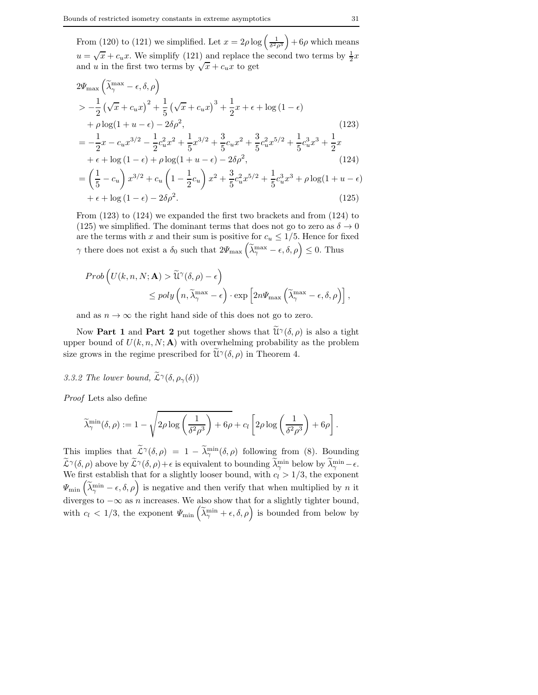From (120) to (121) we simplified. Let  $x = 2\rho \log \left( \frac{1}{\delta^2 \rho^3} \right)$  $+ 6\rho$  which means  $u = \sqrt{x} + c_u x$ . We simplify (121) and replace the second two terms by  $\frac{1}{2}x$ and u in the first two terms by  $\sqrt{x} + c_u x$  to get

$$
2\Psi_{\max} \left( \tilde{\lambda}_{\gamma}^{\max} - \epsilon, \delta, \rho \right)
$$
  
\n
$$
> -\frac{1}{2} \left( \sqrt{x} + c_u x \right)^2 + \frac{1}{5} \left( \sqrt{x} + c_u x \right)^3 + \frac{1}{2} x + \epsilon + \log (1 - \epsilon)
$$
  
\n
$$
+ \rho \log (1 + u - \epsilon) - 2 \delta \rho^2,
$$
  
\n
$$
= -\frac{1}{2} x - c_u x^{3/2} - \frac{1}{2} c_u^2 x^2 + \frac{1}{5} x^{3/2} + \frac{3}{5} c_u x^2 + \frac{3}{5} c_u^2 x^{5/2} + \frac{1}{5} c_u^3 x^3 + \frac{1}{2} x
$$
  
\n
$$
+ \epsilon + \log (1 - \epsilon) + \rho \log (1 + u - \epsilon) - 2 \delta \rho^2,
$$
  
\n
$$
= \left( \frac{1}{5} - c_u \right) x^{3/2} + c_u \left( 1 - \frac{1}{2} c_u \right) x^2 + \frac{3}{5} c_u^2 x^{5/2} + \frac{1}{5} c_u^3 x^3 + \rho \log (1 + u - \epsilon)
$$
  
\n
$$
+ \epsilon + \log (1 - \epsilon) - 2 \delta \rho^2.
$$
  
\n(125)

From (123) to (124) we expanded the first two brackets and from (124) to (125) we simplified. The dominant terms that does not go to zero as  $\delta \to 0$ are the terms with x and their sum is positive for  $c_u \leq 1/5$ . Hence for fixed  $\gamma$  there does not exist a  $\delta_0$  such that  $2\Psi_{\text{max}}\left(\widetilde{\lambda}_{\gamma}^{\text{max}} - \epsilon, \delta, \rho\right) \leq 0$ . Thus

$$
Prob \left( U(k, n, N; \mathbf{A}) > \widetilde{\mathbf{U}}^{\gamma}(\delta, \rho) - \epsilon \right) \leq poly \left( n, \widetilde{\lambda}_{\gamma}^{\max} - \epsilon \right) \cdot \exp \left[ 2n \Psi_{\max} \left( \widetilde{\lambda}_{\gamma}^{\max} - \epsilon, \delta, \rho \right) \right],
$$

and as  $n \to \infty$  the right hand side of this does not go to zero.

Now **Part 1** and **Part 2** put together shows that  $\widetilde{\mathcal{U}}^{\gamma}(\delta,\rho)$  is also a tight upper bound of  $U(k, n, N; A)$  with overwhelming probability as the problem size grows in the regime prescribed for  $\widetilde{\mathcal{U}}^{\gamma}(\delta,\rho)$  in Theorem 4.

# 3.3.2 The lower bound,  $\widetilde{\mathcal{L}}^{\gamma}(\delta, \rho_{\gamma}(\delta))$

*Proof* Lets also define

$$
\widetilde{\lambda}_{\gamma}^{\min}(\delta, \rho) := 1 - \sqrt{2\rho \log \left(\frac{1}{\delta^2 \rho^3}\right) + 6\rho} + c_l \left[2\rho \log \left(\frac{1}{\delta^2 \rho^3}\right) + 6\rho\right].
$$

This implies that  $\widetilde{\mathcal{L}}^{\gamma}(\delta,\rho) = 1 - \widetilde{\lambda}_{\gamma}^{\min}(\delta,\rho)$  following from (8). Bounding  $\widetilde{\mathcal{L}}^{\gamma}(\delta,\rho)$  above by  $\widetilde{\mathcal{L}}^{\gamma}(\delta,\rho)+\epsilon$  is equivalent to bounding  $\widetilde{\lambda}_{\gamma}^{\min}$  below by  $\widetilde{\lambda}_{\gamma}^{\min}-\epsilon$ . We first establish that for a slightly looser bound, with  $c_l > 1/3$ , the exponent  $\Psi_{\min}(\tilde{\lambda}_{\gamma}^{\min} - \epsilon, \delta, \rho)$  is negative and then verify that when multiplied by n it diverges to  $-\infty$  as n increases. We also show that for a slightly tighter bound, with  $c_l < 1/3$ , the exponent  $\Psi_{\min}(\tilde{\lambda}_{\gamma}^{\min} + \epsilon, \delta, \rho)$  is bounded from below by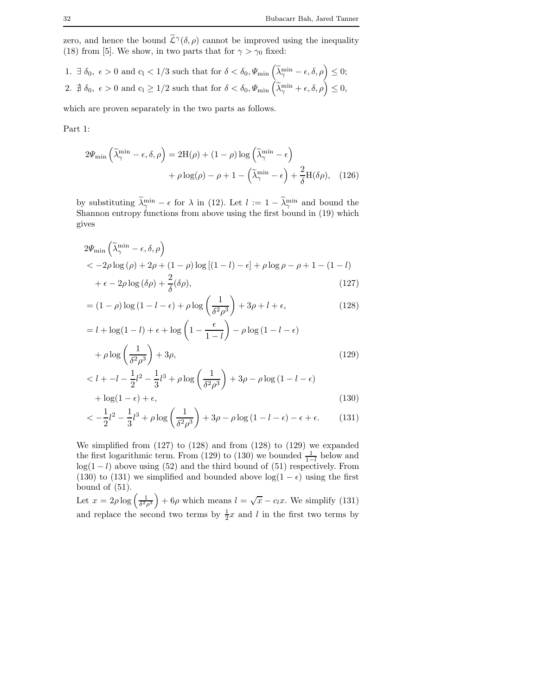zero, and hence the bound  $\tilde{\mathcal{L}}^{\gamma}(\delta,\rho)$  cannot be improved using the inequality (18) from [5]. We show, in two parts that for  $\gamma > \gamma_0$  fixed:

1. 
$$
\exists \delta_0, \epsilon > 0
$$
 and  $c_1 < 1/3$  such that for  $\delta < \delta_0$ ,  $\Psi_{\min} \left( \widetilde{\lambda}_{\gamma}^{\min} - \epsilon, \delta, \rho \right) \le 0$ ;  
2.  $\nexists \delta_0, \epsilon > 0$  and  $c_1 \ge 1/2$  such that for  $\delta < \delta_0$ ,  $\Psi_{\min} \left( \widetilde{\lambda}_{\gamma}^{\min} + \epsilon, \delta, \rho \right) \le 0$ ,

which are proven separately in the two parts as follows.

Part 1:

$$
2\Psi_{\min}\left(\tilde{\lambda}_{\gamma}^{\min} - \epsilon, \delta, \rho\right) = 2H(\rho) + (1 - \rho)\log\left(\tilde{\lambda}_{\gamma}^{\min} - \epsilon\right) + \rho\log(\rho) - \rho + 1 - \left(\tilde{\lambda}_{\gamma}^{\min} - \epsilon\right) + \frac{2}{\delta}H(\delta\rho), \quad (126)
$$

by substituting  $\lambda_{\gamma}^{\min} - \epsilon$  for  $\lambda$  in (12). Let  $l := 1 - \lambda_{\gamma}^{\min}$  and bound the Shannon entropy functions from above using the first bound in (19) which gives

$$
2\Psi_{\min}\left(\tilde{\lambda}_{\gamma}^{\min} - \epsilon, \delta, \rho\right) < -2\rho \log\left(\rho\right) + 2\rho + (1 - \rho) \log\left[(1 - l) - \epsilon\right] + \rho \log\rho - \rho + 1 - (1 - l) < +\epsilon - 2\rho \log\left(\delta\rho\right) + \frac{2}{\delta}(\delta\rho),
$$
(127)

$$
= (1 - \rho) \log (1 - l - \epsilon) + \rho \log \left(\frac{1}{\delta^2 \rho^3}\right) + 3\rho + l + \epsilon,
$$
\n(128)

$$
= l + \log(1 - l) + \epsilon + \log\left(1 - \frac{\epsilon}{1 - l}\right) - \rho \log\left(1 - l - \epsilon\right)
$$

$$
+ \rho \log\left(\frac{1}{\delta^2 \rho^3}\right) + 3\rho,
$$
(129)

$$
\langle l + -l - \frac{1}{2}l^2 - \frac{1}{3}l^3 + \rho \log\left(\frac{1}{\delta^2 \rho^3}\right) + 3\rho - \rho \log(1 - l - \epsilon) + \log(1 - \epsilon) + \epsilon,
$$
\n(130)

$$
\langle -\frac{1}{2}l^2 - \frac{1}{3}l^3 + \rho \log\left(\frac{1}{\delta^2 \rho^3}\right) + 3\rho - \rho \log\left(1 - l - \epsilon\right) - \epsilon + \epsilon. \tag{131}
$$

We simplified from (127) to (128) and from (128) to (129) we expanded the first logarithmic term. From (129) to (130) we bounded  $\frac{1}{1-l}$  below and  $log(1 - l)$  above using (52) and the third bound of (51) respectively. From (130) to (131) we simplified and bounded above  $log(1 - \epsilon)$  using the first bound of (51).

Let  $x = 2\rho \log \left( \frac{1}{\delta^2 \rho^3} \right)$  $+ 6\rho$  which means  $l = \sqrt{x} - c_l x$ . We simplify (131) and replace the second two terms by  $\frac{1}{2}x$  and l in the first two terms by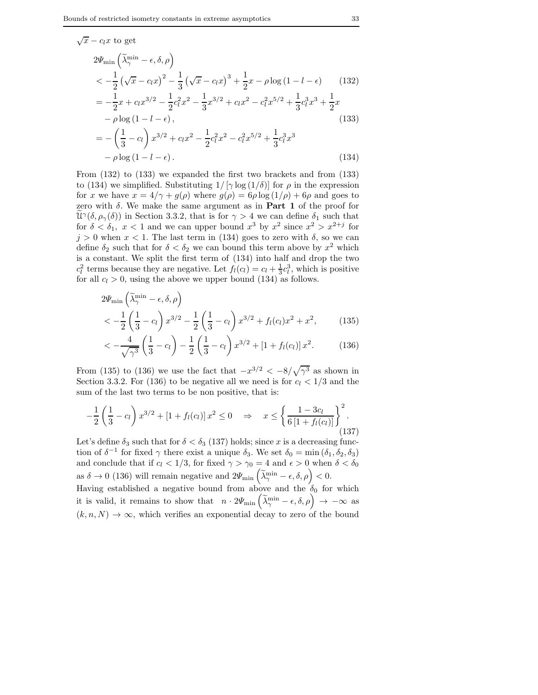$\sqrt{x} - c_l x$  to get

$$
2\Psi_{\min} \left( \tilde{\lambda}_{\gamma}^{\min} - \epsilon, \delta, \rho \right)
$$
  

$$
< -\frac{1}{2} \left( \sqrt{x} - c_l x \right)^2 - \frac{1}{3} \left( \sqrt{x} - c_l x \right)^3 + \frac{1}{2} x - \rho \log \left( 1 - l - \epsilon \right) \qquad (132)
$$
  

$$
= -\frac{1}{2} x + c_l x^{3/2} - \frac{1}{2} c_l^2 x^2 - \frac{1}{3} x^{3/2} + c_l x^2 - c_l^2 x^{5/2} + \frac{1}{3} c_l^3 x^3 + \frac{1}{2} x
$$
  

$$
- \rho \log \left( 1 - l - \epsilon \right), \qquad (133)
$$
  

$$
= -\left( \frac{1}{3} - c_l \right) x^{3/2} + c_l x^2 - \frac{1}{2} c_l^2 x^2 - c_l^2 x^{5/2} + \frac{1}{3} c_l^3 x^3
$$

$$
-\rho \log \left(1 - l - \epsilon\right). \tag{134}
$$

From (132) to (133) we expanded the first two brackets and from (133) to (134) we simplified. Substituting  $1/[\gamma \log(1/\delta)]$  for  $\rho$  in the expression for x we have  $x = 4/\gamma + g(\rho)$  where  $g(\rho) = 6\rho \log(1/\rho) + 6\rho$  and goes to zero with  $\delta$ . We make the same argument as in **Part 1** of the proof for  $\widetilde{\mathfrak{U}}^{\gamma}(\delta,\rho_{\gamma}(\delta))$  in Section 3.3.2, that is for  $\gamma > 4$  we can define  $\delta_1$  such that for  $\delta < \delta_1$ ,  $x < 1$  and we can upper bound  $x^3$  by  $x^2$  since  $x^2 > x^{2+j}$  for  $j > 0$  when  $x < 1$ . The last term in (134) goes to zero with  $\delta$ , so we can define  $\delta_2$  such that for  $\delta < \delta_2$  we can bound this term above by  $x^2$  which is a constant. We split the first term of (134) into half and drop the two  $c_l^2$  terms because they are negative. Let  $f_l(c_l) = c_l + \frac{1}{3}c_l^3$ , which is positive for all  $c_l > 0$ , using the above we upper bound (134) as follows.

$$
2\Psi_{\min}\left(\tilde{\lambda}_{\gamma}^{\min} - \epsilon, \delta, \rho\right) < -\frac{1}{2}\left(\frac{1}{3} - c_l\right)x^{3/2} - \frac{1}{2}\left(\frac{1}{3} - c_l\right)x^{3/2} + f_l(c_l)x^2 + x^2,
$$
 (135)

$$
\langle -\frac{4}{\sqrt{\gamma^3}} \left( \frac{1}{3} - c_l \right) - \frac{1}{2} \left( \frac{1}{3} - c_l \right) x^{3/2} + \left[ 1 + f_l(c_l) \right] x^2. \tag{136}
$$

From (135) to (136) we use the fact that  $-x^{3/2} < -8/\sqrt{\gamma^3}$  as shown in Section 3.3.2. For (136) to be negative all we need is for  $c_l < 1/3$  and the sum of the last two terms to be non positive, that is:

$$
-\frac{1}{2}\left(\frac{1}{3}-c_l\right)x^{3/2} + \left[1+f_l(c_l)\right]x^2 \le 0 \quad \Rightarrow \quad x \le \left\{\frac{1-3c_l}{6\left[1+f_l(c_l)\right]}\right\}^2. \tag{137}
$$

Let's define  $\delta_3$  such that for  $\delta < \delta_3$  (137) holds; since x is a decreasing function of  $\delta^{-1}$  for fixed  $\gamma$  there exist a unique  $\delta_3$ . We set  $\delta_0 = \min(\delta_1, \delta_2, \delta_3)$ and conclude that if  $c_l < 1/3$ , for fixed  $\gamma > \gamma_0 = 4$  and  $\epsilon > 0$  when  $\delta < \delta_0$ as  $\delta \to 0$  (136) will remain negative and  $2\Psi_{\min}(\tilde{\lambda}^{\min}_{\gamma} - \epsilon, \delta, \rho) < 0$ . Having established a negative bound from above and the  $\delta_0$  for which it is valid, it remains to show that  $n \cdot 2\Psi_{\min}(\tilde{\lambda}^{\min}_{\gamma} - \epsilon, \delta, \rho) \rightarrow -\infty$  as  $(k, n, N) \rightarrow \infty$ , which verifies an exponential decay to zero of the bound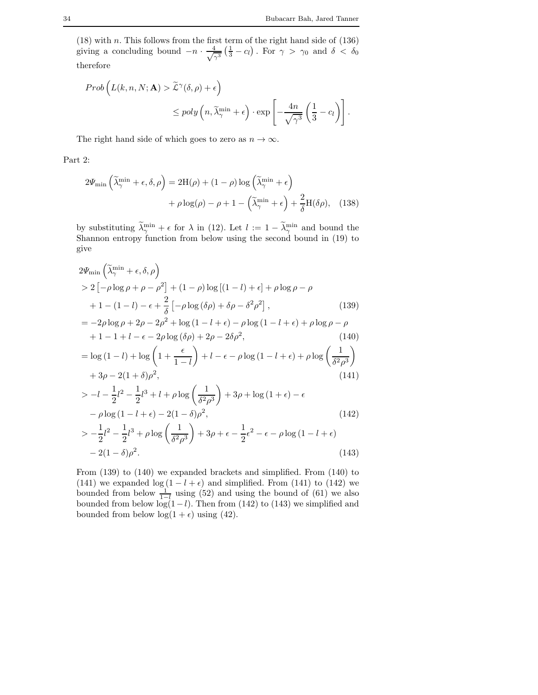.

 $(18)$  with n. This follows from the first term of the right hand side of  $(136)$ giving a concluding bound  $-n \cdot \frac{4}{\sqrt{2}}$  $\frac{4}{\gamma^3}\left(\frac{1}{3}-c_l\right)$ . For  $\gamma > \gamma_0$  and  $\delta < \delta_0$ therefore

$$
Prob\left(L(k, n, N; \mathbf{A}) > \tilde{L}^{\gamma}(\delta, \rho) + \epsilon\right)
$$
  

$$
\leq poly\left(n, \tilde{\lambda}_{\gamma}^{\min} + \epsilon\right) \cdot exp\left[-\frac{4n}{\sqrt{\gamma^{3}}}\left(\frac{1}{3} - c_{l}\right)\right]
$$

The right hand side of which goes to zero as  $n \to \infty$ .

Part 2:

$$
2\Psi_{\min}\left(\tilde{\lambda}_{\gamma}^{\min} + \epsilon, \delta, \rho\right) = 2H(\rho) + (1 - \rho)\log\left(\tilde{\lambda}_{\gamma}^{\min} + \epsilon\right) + \rho\log(\rho) - \rho + 1 - \left(\tilde{\lambda}_{\gamma}^{\min} + \epsilon\right) + \frac{2}{\delta}H(\delta\rho), \quad (138)
$$

by substituting  $\lambda_{\gamma}^{\min} + \epsilon$  for  $\lambda$  in (12). Let  $l := 1 - \lambda_{\gamma}^{\min}$  and bound the Shannon entropy function from below using the second bound in (19) to give

$$
2\Psi_{\min}\left(\tilde{\lambda}_{\gamma}^{\min} + \epsilon, \delta, \rho\right)
$$
  
> 2\left[-\rho \log \rho + \rho - \rho^2\right] + (1 - \rho) \log\left[(1 - l) + \epsilon\right] + \rho \log \rho - \rho  
+ 1 - (1 - l) - \epsilon + \frac{2}{\delta}\left[-\rho \log\left(\delta\rho\right) + \delta\rho - \delta^2\rho^2\right], (139)  
= -2\rho \log \rho + 2\rho - 2\rho^2 + \log\left(1 - l + \epsilon\right) - \rho \log\left(1 - l + \epsilon\right) + \rho \log \rho - \rho

$$
+1-1+l-\epsilon-2\rho\log(\delta\rho)+2\rho-2\delta\rho^2,
$$
\n(140)

$$
= \log (1 - l) + \log \left( 1 + \frac{\epsilon}{1 - l} \right) + l - \epsilon - \rho \log (1 - l + \epsilon) + \rho \log \left( \frac{1}{\delta^2 \rho^3} \right)
$$

$$
+ 3\rho - 2(1 + \delta)\rho^2, \tag{141}
$$

$$
> -l - \frac{1}{2}l^2 - \frac{1}{2}l^3 + l + \rho \log\left(\frac{1}{\delta^2 \rho^3}\right) + 3\rho + \log(1 + \epsilon) - \epsilon
$$

$$
- \rho \log(1 - l + \epsilon) - 2(1 - \delta)\rho^2,
$$
(142)

$$
> -\frac{1}{2}l^2 - \frac{1}{2}l^3 + \rho \log\left(\frac{1}{\delta^2 \rho^3}\right) + 3\rho + \epsilon - \frac{1}{2}\epsilon^2 - \epsilon - \rho \log(1 - l + \epsilon) - 2(1 - \delta)\rho^2.
$$
 (143)

From (139) to (140) we expanded brackets and simplified. From (140) to (141) we expanded log  $(1 - l + \epsilon)$  and simplified. From (141) to (142) we bounded from below  $\frac{1}{1-l}$  using (52) and using the bound of (61) we also bounded from below  $log(1-l)$ . Then from (142) to (143) we simplified and bounded from below  $\log(1 + \epsilon)$  using (42).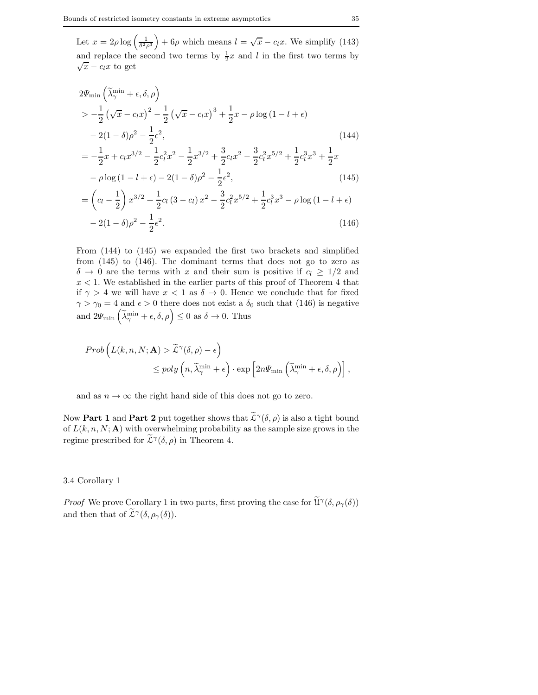Let  $x = 2\rho \log \left( \frac{1}{\delta^2 \rho^3} \right)$  $+ 6\rho$  which means  $l = \sqrt{x} - c_l x$ . We simplify (143) and replace the second two terms by  $\frac{1}{2}x$  and l in the first two terms by  $\sqrt{x} - c_l x$  to get

$$
2\Psi_{\min}\left(\tilde{\lambda}_{\gamma}^{\min} + \epsilon, \delta, \rho\right)
$$
  
>  $-\frac{1}{2}\left(\sqrt{x} - c_l x\right)^2 - \frac{1}{2}\left(\sqrt{x} - c_l x\right)^3 + \frac{1}{2}x - \rho \log\left(1 - l + \epsilon\right)$   
 $- 2(1 - \delta)\rho^2 - \frac{1}{2}\epsilon^2,$  (144)  
 $= -\frac{1}{2}x + c_l x^{3/2} - \frac{1}{2}c_l^2 x^2 - \frac{1}{2}x^{3/2} + \frac{3}{2}c_l x^2 - \frac{3}{2}c_l^2 x^{5/2} + \frac{1}{2}c_l^3 x^3 + \frac{1}{2}x$   
 $- \rho \log\left(1 - l + \epsilon\right) - 2(1 - \delta)\rho^2 - \frac{1}{2}\epsilon^2,$  (145)

$$
- \rho \log (1 - l + \epsilon) - 2(1 - \delta)\rho^2 - \frac{1}{2}\epsilon^2,
$$
\n
$$
= \left(c_l - \frac{1}{2}\right)x^{3/2} + \frac{1}{2}c_l(3 - c_l)x^2 - \frac{3}{2}c_l^2x^{5/2} + \frac{1}{2}c_l^3x^3 - \rho \log (1 - l + \epsilon) - 2(1 - \delta)\rho^2 - \frac{1}{2}\epsilon^2.
$$
\n(146)

From (144) to (145) we expanded the first two brackets and simplified from (145) to (146). The dominant terms that does not go to zero as  $\delta \to 0$  are the terms with x and their sum is positive if  $c_l \geq 1/2$  and  $x < 1$ . We established in the earlier parts of this proof of Theorem 4 that if  $\gamma > 4$  we will have  $x < 1$  as  $\delta \to 0$ . Hence we conclude that for fixed  $\gamma > \gamma_0 = 4$  and  $\epsilon > 0$  there does not exist a  $\delta_0$  such that (146) is negative and  $2\Psi_{\min}\left(\tilde{\lambda}_{\gamma}^{\min}+\epsilon,\delta,\rho\right)\leq 0$  as  $\delta\to 0$ . Thus

$$
Prob\left(L(k, n, N; \mathbf{A}) > \tilde{L}^{\gamma}(\delta, \rho) - \epsilon\right)
$$
  
\$\leq\$  $poly\left(n, \tilde{\lambda}_{\gamma}^{\min} + \epsilon\right) \cdot exp\left[2n\Psi_{\min}\left(\tilde{\lambda}_{\gamma}^{\min} + \epsilon, \delta, \rho\right)\right],$ 

and as  $n \to \infty$  the right hand side of this does not go to zero.

Now **Part 1** and **Part 2** put together shows that  $\tilde{\mathcal{L}}^{\gamma}(\delta,\rho)$  is also a tight bound of  $L(k, n, N; A)$  with overwhelming probability as the sample size grows in the regime prescribed for  $\tilde{\mathcal{L}}^{\gamma}(\delta,\rho)$  in Theorem 4.

#### 3.4 Corollary 1

*Proof* We prove Corollary 1 in two parts, first proving the case for  $\tilde{\mathcal{U}}^{\gamma}(\delta, \rho_{\gamma}(\delta))$ and then that of  $\widetilde{\mathcal{L}}^{\gamma}(\delta,\rho_{\gamma}(\delta)).$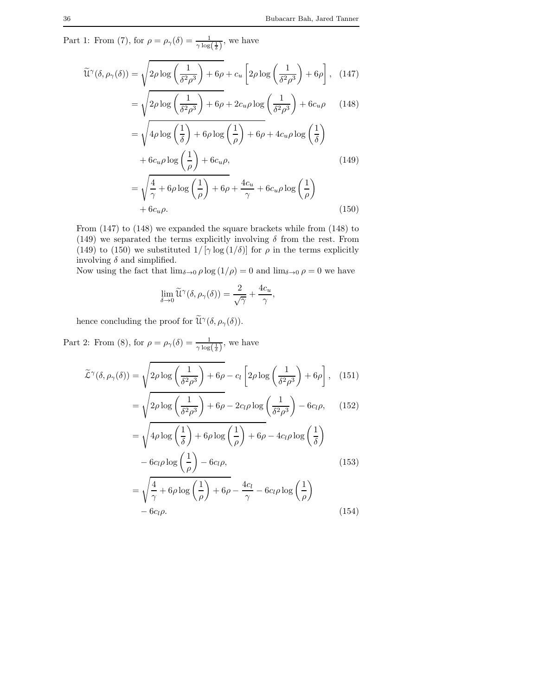Part 1: From (7), for  $\rho = \rho_{\gamma}(\delta) = \frac{1}{\gamma \log(\frac{1}{\delta})}$ , we have

$$
\widetilde{\mathcal{U}}^{\gamma}(\delta, \rho_{\gamma}(\delta)) = \sqrt{2\rho \log \left(\frac{1}{\delta^2 \rho^3}\right) + 6\rho} + c_u \left[2\rho \log \left(\frac{1}{\delta^2 \rho^3}\right) + 6\rho\right], \quad (147)
$$

$$
= \sqrt{2\rho \log \left(\frac{1}{\delta^2 \rho^3}\right) + 6\rho + 2c_u \rho \log \left(\frac{1}{\delta^2 \rho^3}\right) + 6c_u \rho} \qquad (148)
$$

$$
= \sqrt{4\rho \log\left(\frac{1}{\delta}\right) + 6\rho \log\left(\frac{1}{\rho}\right) + 6\rho + 4c_u\rho \log\left(\frac{1}{\delta}\right)}
$$

$$
+ 6c_u\rho \log\left(\frac{1}{\rho}\right) + 6c_u\rho, \tag{149}
$$

$$
= \sqrt{\frac{4}{\gamma} + 6\rho \log\left(\frac{1}{\rho}\right) + 6\rho} + \frac{4c_u}{\gamma} + 6c_u\rho \log\left(\frac{1}{\rho}\right)
$$
  
+ 6c\_u\rho. (150)

From (147) to (148) we expanded the square brackets while from (148) to (149) we separated the terms explicitly involving  $\delta$  from the rest. From (149) to (150) we substituted  $1/[\gamma \log(1/\delta)]$  for  $\rho$  in the terms explicitly involving  $\delta$  and simplified.

Now using the fact that  $\lim_{\delta \to 0} \rho \log(1/\rho) = 0$  and  $\lim_{\delta \to 0} \rho = 0$  we have

$$
\lim_{\delta \to 0} \widetilde{\mathcal{U}}^{\gamma}(\delta, \rho_{\gamma}(\delta)) = \frac{2}{\sqrt{\gamma}} + \frac{4c_u}{\gamma},
$$

hence concluding the proof for  $\widetilde{\mathcal{U}}^{\gamma}(\delta, \rho_{\gamma}(\delta)).$ 

Part 2: From (8), for  $\rho = \rho_{\gamma}(\delta) = \frac{1}{\gamma \log(\frac{1}{\delta})}$ , we have

$$
\widetilde{\mathcal{L}}^{\gamma}(\delta, \rho_{\gamma}(\delta)) = \sqrt{2\rho \log \left(\frac{1}{\delta^{2}\rho^{3}}\right) + 6\rho} - c_{l} \left[2\rho \log \left(\frac{1}{\delta^{2}\rho^{3}}\right) + 6\rho\right], \quad (151)
$$

$$
= \sqrt{2\rho \log \left(\frac{1}{\delta^{2}\rho^{3}}\right) + 6\rho} - 2c_{l}\rho \log \left(\frac{1}{\delta^{2}\rho^{3}}\right) - 6c_{l}\rho, \quad (152)
$$

$$
= \sqrt{4\rho \log \left(\frac{1}{\delta}\right) + 6\rho \log \left(\frac{1}{\rho}\right) + 6\rho} - 4c_{l}\rho \log \left(\frac{1}{\delta}\right)
$$

$$
- 6c_{l}\rho \log \left(\frac{1}{\rho}\right) - 6c_{l}\rho, \quad (153)
$$

$$
= \sqrt{\frac{4}{\gamma} + 6\rho \log \left(\frac{1}{\rho}\right) + 6\rho} - \frac{4c_{l}}{\gamma} - 6c_{l}\rho \log \left(\frac{1}{\rho}\right)
$$

$$
- 6c_{l}\rho. \quad (154)
$$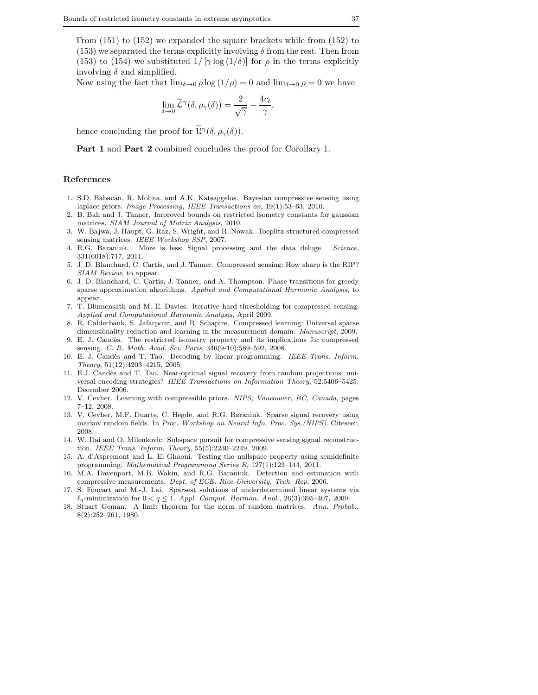From (151) to (152) we expanded the square brackets while from (152) to  $(153)$  we separated the terms explicitly involving  $\delta$  from the rest. Then from (153) to (154) we substituted  $1/[\gamma \log(1/\delta)]$  for  $\rho$  in the terms explicitly involving  $\delta$  and simplified.

Now using the fact that  $\lim_{\delta \to 0} \rho \log(1/\rho) = 0$  and  $\lim_{\delta \to 0} \rho = 0$  we have

$$
\lim_{\delta \to 0} \widetilde{\mathcal{L}}^{\gamma}(\delta, \rho_{\gamma}(\delta)) = \frac{2}{\sqrt{\gamma}} - \frac{4c_l}{\gamma},
$$

hence concluding the proof for  $\widetilde{\mathcal{U}}^{\gamma}(\delta, \rho_{\gamma}(\delta)).$ 

Part 1 and Part 2 combined concludes the proof for Corollary 1.

#### References

- 1. S.D. Babacan, R. Molina, and A.K. Katsaggelos. Bayesian compressive sensing using laplace priors. *Image Processing, IEEE Transactions on*, 19(1):53–63, 2010.
- 2. B. Bah and J. Tanner. Improved bounds on restricted isometry constants for gaussian matrices. *SIAM Journal of Matrix Analysis*, 2010.
- 3. W. Bajwa, J. Haupt, G. Raz, S. Wright, and R. Nowak. Toeplitz-structured compressed sensing matrices. *IEEE Workshop SSP*, 2007.
- 4. R.G. Baraniuk. More is less: Signal processing and the data deluge. *Science*, 331(6018):717, 2011.
- 5. J. D. Blanchard, C. Cartis, and J. Tanner. Compressed sensing: How sharp is the RIP? *SIAM Review*, to appear.
- 6. J. D. Blanchard, C. Cartis, J. Tanner, and A. Thompson. Phase transitions for greedy sparse approximation algorithms. *Applied and Computational Harmonic Analysis*, to appear.
- 7. T. Blumensath and M. E. Davies. Iterative hard thresholding for compressed sensing. *Applied and Computational Harmonic Analysis*, April 2009.
- 8. R. Calderbank, S. Jafarpour, and R. Schapire. Compressed learning: Universal sparse dimensionality reduction and learning in the measurement domain. *Manuscript*, 2009.
- 9. E. J. Cand`es. The restricted isometry property and its implications for compressed sensing. *C. R. Math. Acad. Sci. Paris*, 346(9-10):589–592, 2008.
- 10. E. J. Cand`es and T. Tao. Decoding by linear programming. *IEEE Trans. Inform. Theory*, 51(12):4203–4215, 2005.
- 11. E.J. Cand`es and T. Tao. Near-optimal signal recovery from random projections: universal encoding strategies? *IEEE Transactions on Information Theory*, 52:5406–5425, December 2006.
- 12. V. Cevher. Learning with compressible priors. *NIPS, Vancouver, BC, Canada*, pages 7–12, 2008.
- 13. V. Cevher, M.F. Duarte, C. Hegde, and R.G. Baraniuk. Sparse signal recovery using markov random fields. In *Proc. Workshop on Neural Info. Proc. Sys.(NIPS)*. Citeseer, 2008.
- 14. W. Dai and O. Milenkovic. Subspace pursuit for compressive sensing signal reconstruction. *IEEE Trans. Inform. Theory*, 55(5):2230–2249, 2009.
- 15. A. d'Aspremont and L. El Ghaoui. Testing the nullspace property using semidefinite programming. *Mathematical Programming Series B*, 127(1):123–144, 2011.
- 16. M.A. Davenport, M.B. Wakin, and R.G. Baraniuk. Detection and estimation with compressive measurements. *Dept. of ECE, Rice University, Tech. Rep*, 2006.
- 17. S. Foucart and M.-J. Lai. Sparsest solutions of underdetermined linear systems via  $\ell_q$ -minimization for  $0 < q \leq 1$ . *Appl. Comput. Harmon. Anal.*, 26(3):395–407, 2009.
- 18. Stuart Geman. A limit theorem for the norm of random matrices. *Ann. Probab.*, 8(2):252–261, 1980.